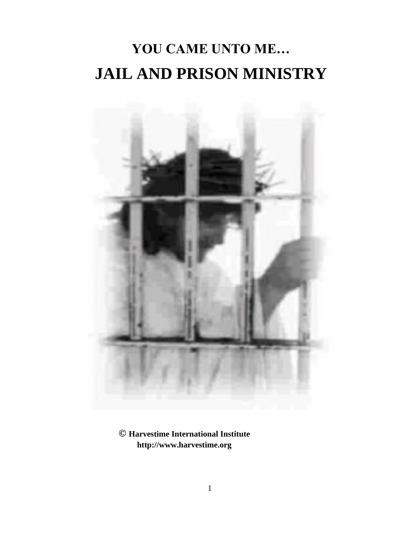# **YOU CAME UNTO ME… JAIL AND PRISON MINISTRY**



**© Harvestime International Institute http://www.harvestime.org**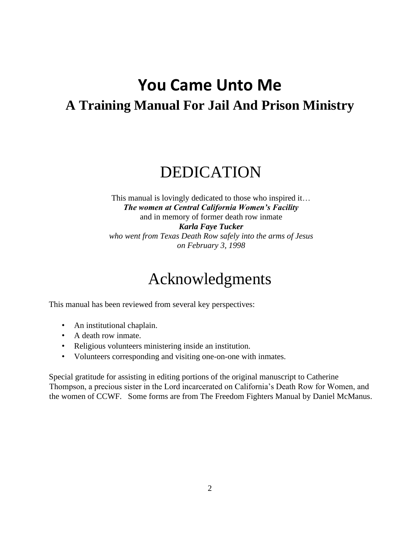### **You Came Unto Me A Training Manual For Jail And Prison Ministry**

### DEDICATION

This manual is lovingly dedicated to those who inspired it… *The women at Central California Women's Facility* and in memory of former death row inmate *Karla Faye Tucker who went from Texas Death Row safely into the arms of Jesus on February 3, 1998*

### Acknowledgments

This manual has been reviewed from several key perspectives:

- An institutional chaplain.
- A death row inmate.
- Religious volunteers ministering inside an institution.
- Volunteers corresponding and visiting one-on-one with inmates.

Special gratitude for assisting in editing portions of the original manuscript to Catherine Thompson, a precious sister in the Lord incarcerated on California's Death Row for Women, and the women of CCWF. Some forms are from The Freedom Fighters Manual by Daniel McManus.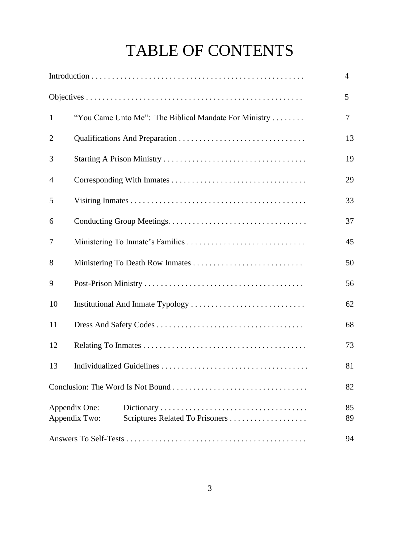## TABLE OF CONTENTS

|                |                                                                   | $\overline{4}$ |
|----------------|-------------------------------------------------------------------|----------------|
|                |                                                                   | 5              |
| $\mathbf{1}$   | "You Came Unto Me": The Biblical Mandate For Ministry             | 7              |
| $\overline{2}$ |                                                                   | 13             |
| 3              |                                                                   | 19             |
| 4              |                                                                   | 29             |
| 5              |                                                                   | 33             |
| 6              |                                                                   | 37             |
| 7              |                                                                   | 45             |
| 8              |                                                                   | 50             |
| 9              |                                                                   | 56             |
| 10             |                                                                   | 62             |
| 11             |                                                                   | 68             |
| 12             |                                                                   | 73             |
| 13             |                                                                   | 81             |
|                |                                                                   | 82             |
|                | Appendix One:<br>Appendix Two:<br>Scriptures Related To Prisoners |                |
|                |                                                                   | 94             |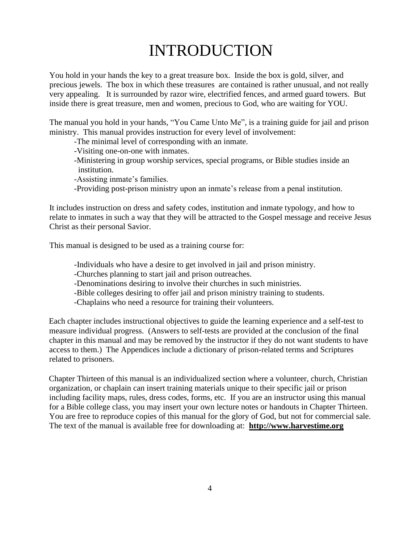### INTRODUCTION

You hold in your hands the key to a great treasure box. Inside the box is gold, silver, and precious jewels. The box in which these treasures are contained is rather unusual, and not really very appealing. It is surrounded by razor wire, electrified fences, and armed guard towers. But inside there is great treasure, men and women, precious to God, who are waiting for YOU.

The manual you hold in your hands, "You Came Unto Me", is a training guide for jail and prison ministry. This manual provides instruction for every level of involvement:

-The minimal level of corresponding with an inmate.

-Visiting one-on-one with inmates.

- -Ministering in group worship services, special programs, or Bible studies inside an institution.
- -Assisting inmate's families.
- -Providing post-prison ministry upon an inmate's release from a penal institution.

It includes instruction on dress and safety codes, institution and inmate typology, and how to relate to inmates in such a way that they will be attracted to the Gospel message and receive Jesus Christ as their personal Savior.

This manual is designed to be used as a training course for:

-Individuals who have a desire to get involved in jail and prison ministry.

- -Churches planning to start jail and prison outreaches.
- -Denominations desiring to involve their churches in such ministries.
- -Bible colleges desiring to offer jail and prison ministry training to students.

-Chaplains who need a resource for training their volunteers.

Each chapter includes instructional objectives to guide the learning experience and a self-test to measure individual progress. (Answers to self-tests are provided at the conclusion of the final chapter in this manual and may be removed by the instructor if they do not want students to have access to them.) The Appendices include a dictionary of prison-related terms and Scriptures related to prisoners.

Chapter Thirteen of this manual is an individualized section where a volunteer, church, Christian organization, or chaplain can insert training materials unique to their specific jail or prison including facility maps, rules, dress codes, forms, etc. If you are an instructor using this manual for a Bible college class, you may insert your own lecture notes or handouts in Chapter Thirteen. You are free to reproduce copies of this manual for the glory of God, but not for commercial sale. The text of the manual is available free for downloading at: **[http://www.harvestime.org](http://www.harvestime.org/)**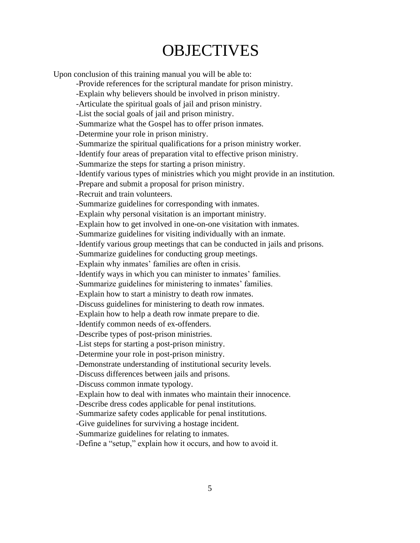### **OBJECTIVES**

Upon conclusion of this training manual you will be able to:

-Provide references for the scriptural mandate for prison ministry.

-Explain why believers should be involved in prison ministry.

-Articulate the spiritual goals of jail and prison ministry.

-List the social goals of jail and prison ministry.

-Summarize what the Gospel has to offer prison inmates.

-Determine your role in prison ministry.

-Summarize the spiritual qualifications for a prison ministry worker.

-Identify four areas of preparation vital to effective prison ministry.

-Summarize the steps for starting a prison ministry.

-Identify various types of ministries which you might provide in an institution.

-Prepare and submit a proposal for prison ministry.

-Recruit and train volunteers.

-Summarize guidelines for corresponding with inmates.

-Explain why personal visitation is an important ministry.

-Explain how to get involved in one-on-one visitation with inmates.

-Summarize guidelines for visiting individually with an inmate.

-Identify various group meetings that can be conducted in jails and prisons.

-Summarize guidelines for conducting group meetings.

-Explain why inmates' families are often in crisis.

-Identify ways in which you can minister to inmates' families.

-Summarize guidelines for ministering to inmates' families.

-Explain how to start a ministry to death row inmates.

-Discuss guidelines for ministering to death row inmates.

-Explain how to help a death row inmate prepare to die.

-Identify common needs of ex-offenders.

-Describe types of post-prison ministries.

-List steps for starting a post-prison ministry.

-Determine your role in post-prison ministry.

-Demonstrate understanding of institutional security levels.

-Discuss differences between jails and prisons.

-Discuss common inmate typology.

-Explain how to deal with inmates who maintain their innocence.

-Describe dress codes applicable for penal institutions.

-Summarize safety codes applicable for penal institutions.

-Give guidelines for surviving a hostage incident.

-Summarize guidelines for relating to inmates.

-Define a "setup," explain how it occurs, and how to avoid it.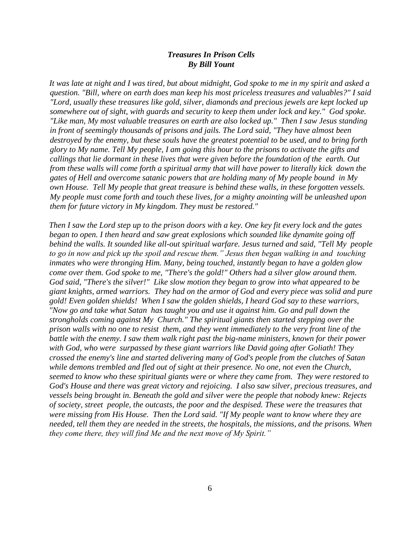#### *Treasures In Prison Cells By Bill Yount*

*It was late at night and I was tired, but about midnight, God spoke to me in my spirit and asked a question. "Bill, where on earth does man keep his most priceless treasures and valuables?" I said "Lord, usually these treasures like gold, silver, diamonds and precious jewels are kept locked up somewhere out of sight, with guards and security to keep them under lock and key." God spoke. "Like man, My most valuable treasures on earth are also locked up." Then I saw Jesus standing in front of seemingly thousands of prisons and jails. The Lord said, "They have almost been destroyed by the enemy, but these souls have the greatest potential to be used, and to bring forth glory to My name. Tell My people, I am going this hour to the prisons to activate the gifts and callings that lie dormant in these lives that were given before the foundation of the earth. Out from these walls will come forth a spiritual army that will have power to literally kick down the gates of Hell and overcome satanic powers that are holding many of My people bound in My own House. Tell My people that great treasure is behind these walls, in these forgotten vessels. My people must come forth and touch these lives, for a mighty anointing will be unleashed upon them for future victory in My kingdom. They must be restored."* 

*Then I saw the Lord step up to the prison doors with a key. One key fit every lock and the gates began to open. I then heard and saw great explosions which sounded like dynamite going off behind the walls. It sounded like all-out spiritual warfare. Jesus turned and said, "Tell My people to go in now and pick up the spoil and rescue them." Jesus then began walking in and touching inmates who were thronging Him. Many, being touched, instantly began to have a golden glow come over them. God spoke to me, "There's the gold!" Others had a silver glow around them. God said, "There's the silver!" Like slow motion they began to grow into what appeared to be giant knights, armed warriors. They had on the armor of God and every piece was solid and pure gold! Even golden shields! When I saw the golden shields, I heard God say to these warriors, "Now go and take what Satan has taught you and use it against him. Go and pull down the strongholds coming against My Church." The spiritual giants then started stepping over the prison walls with no one to resist them, and they went immediately to the very front line of the battle with the enemy. I saw them walk right past the big-name ministers, known for their power with God, who were surpassed by these giant warriors like David going after Goliath! They crossed the enemy's line and started delivering many of God's people from the clutches of Satan while demons trembled and fled out of sight at their presence. No one, not even the Church, seemed to know who these spiritual giants were or where they came from. They were restored to God's House and there was great victory and rejoicing. I also saw silver, precious treasures, and vessels being brought in. Beneath the gold and silver were the people that nobody knew: Rejects of society, street people, the outcasts, the poor and the despised. These were the treasures that were missing from His House. Then the Lord said. "If My people want to know where they are needed, tell them they are needed in the streets, the hospitals, the missions, and the prisons. When they come there, they will find Me and the next move of My Spirit."*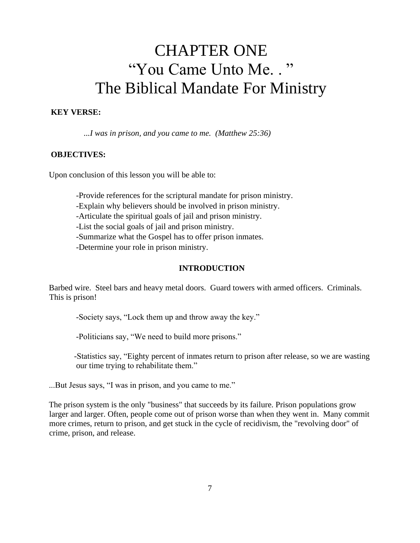### CHAPTER ONE "You Came Unto Me. . " The Biblical Mandate For Ministry

#### **KEY VERSE:**

*...I was in prison, and you came to me. (Matthew 25:36)* 

#### **OBJECTIVES:**

Upon conclusion of this lesson you will be able to:

-Provide references for the scriptural mandate for prison ministry.

-Explain why believers should be involved in prison ministry.

-Articulate the spiritual goals of jail and prison ministry.

-List the social goals of jail and prison ministry.

-Summarize what the Gospel has to offer prison inmates.

-Determine your role in prison ministry.

#### **INTRODUCTION**

Barbed wire. Steel bars and heavy metal doors. Guard towers with armed officers. Criminals. This is prison!

-Society says, "Lock them up and throw away the key."

-Politicians say, "We need to build more prisons."

-Statistics say, "Eighty percent of inmates return to prison after release, so we are wasting our time trying to rehabilitate them."

...But Jesus says, "I was in prison, and you came to me."

The prison system is the only "business" that succeeds by its failure. Prison populations grow larger and larger. Often, people come out of prison worse than when they went in. Many commit more crimes, return to prison, and get stuck in the cycle of recidivism, the "revolving door" of crime, prison, and release.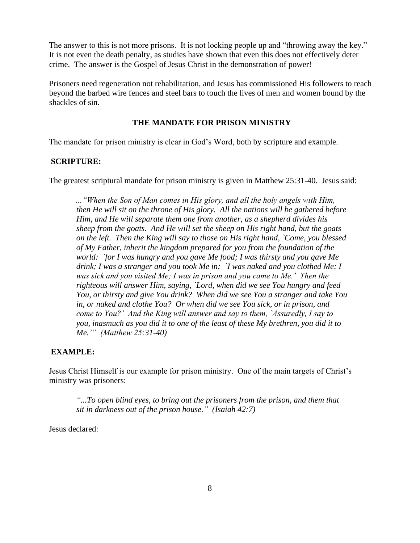The answer to this is not more prisons. It is not locking people up and "throwing away the key." It is not even the death penalty, as studies have shown that even this does not effectively deter crime. The answer is the Gospel of Jesus Christ in the demonstration of power!

Prisoners need regeneration not rehabilitation, and Jesus has commissioned His followers to reach beyond the barbed wire fences and steel bars to touch the lives of men and women bound by the shackles of sin.

#### **THE MANDATE FOR PRISON MINISTRY**

The mandate for prison ministry is clear in God's Word, both by scripture and example.

#### **SCRIPTURE:**

The greatest scriptural mandate for prison ministry is given in Matthew 25:31-40. Jesus said:

*..."When the Son of Man comes in His glory, and all the holy angels with Him, then He will sit on the throne of His glory. All the nations will be gathered before Him, and He will separate them one from another, as a shepherd divides his sheep from the goats. And He will set the sheep on His right hand, but the goats on the left. Then the King will say to those on His right hand, `Come, you blessed of My Father, inherit the kingdom prepared for you from the foundation of the world: `for I was hungry and you gave Me food; I was thirsty and you gave Me drink; I was a stranger and you took Me in; `I was naked and you clothed Me; I was sick and you visited Me; I was in prison and you came to Me.' Then the righteous will answer Him, saying, `Lord, when did we see You hungry and feed You, or thirsty and give You drink? When did we see You a stranger and take You in, or naked and clothe You? Or when did we see You sick, or in prison, and come to You?' And the King will answer and say to them, `Assuredly, I say to you, inasmuch as you did it to one of the least of these My brethren, you did it to Me.'" (Matthew 25:31-40)* 

#### **EXAMPLE:**

Jesus Christ Himself is our example for prison ministry. One of the main targets of Christ's ministry was prisoners:

*"...To open blind eyes, to bring out the prisoners from the prison, and them that sit in darkness out of the prison house." (Isaiah 42:7)* 

Jesus declared: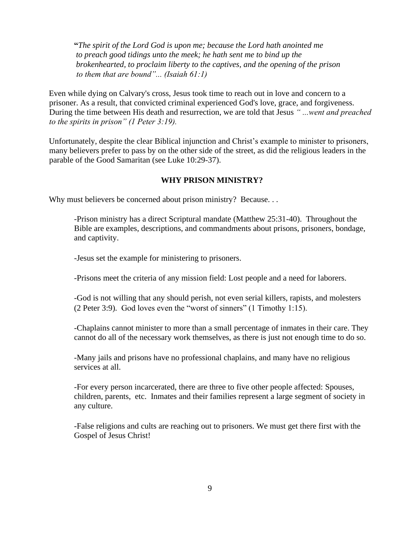**"***The spirit of the Lord God is upon me; because the Lord hath anointed me to preach good tidings unto the meek; he hath sent me to bind up the brokenhearted, to proclaim liberty to the captives, and the opening of the prison to them that are bound"... (Isaiah 61:1)* 

Even while dying on Calvary's cross, Jesus took time to reach out in love and concern to a prisoner. As a result, that convicted criminal experienced God's love, grace, and forgiveness. During the time between His death and resurrection, we are told that Jesus *" ...went and preached to the spirits in prison" (1 Peter 3:19).* 

Unfortunately, despite the clear Biblical injunction and Christ's example to minister to prisoners, many believers prefer to pass by on the other side of the street, as did the religious leaders in the parable of the Good Samaritan (see Luke 10:29-37).

#### **WHY PRISON MINISTRY?**

Why must believers be concerned about prison ministry? Because...

-Prison ministry has a direct Scriptural mandate (Matthew 25:31-40). Throughout the Bible are examples, descriptions, and commandments about prisons, prisoners, bondage, and captivity.

-Jesus set the example for ministering to prisoners.

-Prisons meet the criteria of any mission field: Lost people and a need for laborers.

-God is not willing that any should perish, not even serial killers, rapists, and molesters (2 Peter 3:9). God loves even the "worst of sinners" (1 Timothy 1:15).

-Chaplains cannot minister to more than a small percentage of inmates in their care. They cannot do all of the necessary work themselves, as there is just not enough time to do so.

-Many jails and prisons have no professional chaplains, and many have no religious services at all.

-For every person incarcerated, there are three to five other people affected: Spouses, children, parents, etc. Inmates and their families represent a large segment of society in any culture.

-False religions and cults are reaching out to prisoners. We must get there first with the Gospel of Jesus Christ!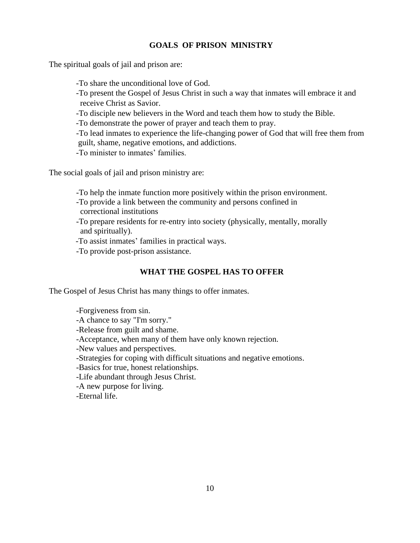#### **GOALS OF PRISON MINISTRY**

The spiritual goals of jail and prison are:

- -To share the unconditional love of God.
- -To present the Gospel of Jesus Christ in such a way that inmates will embrace it and receive Christ as Savior.
- -To disciple new believers in the Word and teach them how to study the Bible.
- -To demonstrate the power of prayer and teach them to pray.
- -To lead inmates to experience the life-changing power of God that will free them from guilt, shame, negative emotions, and addictions.
- -To minister to inmates' families.

The social goals of jail and prison ministry are:

- -To help the inmate function more positively within the prison environment.
- -To provide a link between the community and persons confined in correctional institutions
- -To prepare residents for re-entry into society (physically, mentally, morally and spiritually).
- -To assist inmates' families in practical ways.
- -To provide post-prison assistance.

#### **WHAT THE GOSPEL HAS TO OFFER**

The Gospel of Jesus Christ has many things to offer inmates.

-Forgiveness from sin. -A chance to say "I'm sorry." -Release from guilt and shame. -Acceptance, when many of them have only known rejection. -New values and perspectives. -Strategies for coping with difficult situations and negative emotions. -Basics for true, honest relationships. -Life abundant through Jesus Christ. -A new purpose for living. -Eternal life.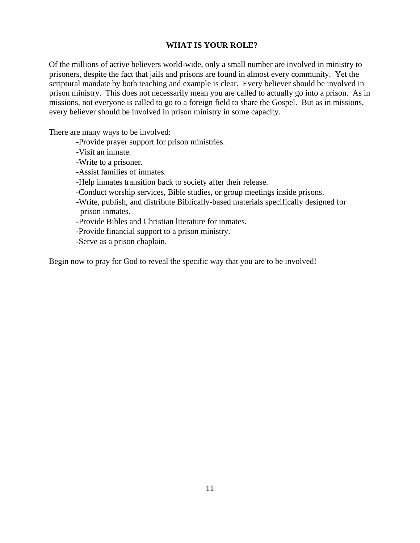#### **WHAT IS YOUR ROLE?**

Of the millions of active believers world-wide, only a small number are involved in ministry to prisoners, despite the fact that jails and prisons are found in almost every community. Yet the scriptural mandate by both teaching and example is clear. Every believer should be involved in prison ministry. This does not necessarily mean you are called to actually go into a prison. As in missions, not everyone is called to go to a foreign field to share the Gospel. But as in missions, every believer should be involved in prison ministry in some capacity.

There are many ways to be involved:

- -Provide prayer support for prison ministries.
- -Visit an inmate.
- -Write to a prisoner.
- -Assist families of inmates.
- -Help inmates transition back to society after their release.
- -Conduct worship services, Bible studies, or group meetings inside prisons.
- -Write, publish, and distribute Biblically-based materials specifically designed for prison inmates.
- -Provide Bibles and Christian literature for inmates.
- -Provide financial support to a prison ministry.
- -Serve as a prison chaplain.

Begin now to pray for God to reveal the specific way that you are to be involved!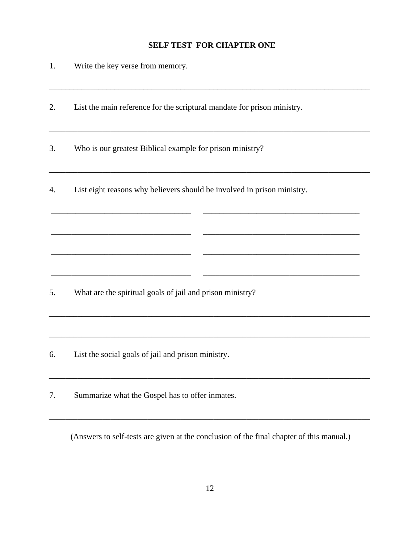#### **SELF TEST FOR CHAPTER ONE**

\_\_\_\_\_\_\_\_\_\_\_\_\_\_\_\_\_\_\_\_\_\_\_\_\_\_\_\_\_\_\_\_\_\_\_\_\_\_\_\_\_\_\_\_\_\_\_\_\_\_\_\_\_\_\_\_\_\_\_\_\_\_\_\_\_\_\_\_\_\_\_\_\_\_\_\_\_\_

\_\_\_\_\_\_\_\_\_\_\_\_\_\_\_\_\_\_\_\_\_\_\_\_\_\_\_\_\_\_\_\_\_\_\_\_\_\_\_\_\_\_\_\_\_\_\_\_\_\_\_\_\_\_\_\_\_\_\_\_\_\_\_\_\_\_\_\_\_\_\_\_\_\_\_\_\_\_

\_\_\_\_\_\_\_\_\_\_\_\_\_\_\_\_\_\_\_\_\_\_\_\_\_\_\_\_\_\_\_\_\_\_\_\_\_\_\_\_\_\_\_\_\_\_\_\_\_\_\_\_\_\_\_\_\_\_\_\_\_\_\_\_\_\_\_\_\_\_\_\_\_\_\_\_\_\_

\_\_\_\_\_\_\_\_\_\_\_\_\_\_\_\_\_\_\_\_\_\_\_\_\_\_\_\_\_\_\_\_\_\_ \_\_\_\_\_\_\_\_\_\_\_\_\_\_\_\_\_\_\_\_\_\_\_\_\_\_\_\_\_\_\_\_\_\_\_\_\_\_

\_\_\_\_\_\_\_\_\_\_\_\_\_\_\_\_\_\_\_\_\_\_\_\_\_\_\_\_\_\_\_\_\_\_ \_\_\_\_\_\_\_\_\_\_\_\_\_\_\_\_\_\_\_\_\_\_\_\_\_\_\_\_\_\_\_\_\_\_\_\_\_\_

\_\_\_\_\_\_\_\_\_\_\_\_\_\_\_\_\_\_\_\_\_\_\_\_\_\_\_\_\_\_\_\_\_\_ \_\_\_\_\_\_\_\_\_\_\_\_\_\_\_\_\_\_\_\_\_\_\_\_\_\_\_\_\_\_\_\_\_\_\_\_\_\_

\_\_\_\_\_\_\_\_\_\_\_\_\_\_\_\_\_\_\_\_\_\_\_\_\_\_\_\_\_\_\_\_\_\_ \_\_\_\_\_\_\_\_\_\_\_\_\_\_\_\_\_\_\_\_\_\_\_\_\_\_\_\_\_\_\_\_\_\_\_\_\_\_

- 1. Write the key verse from memory.
- 2. List the main reference for the scriptural mandate for prison ministry.

3. Who is our greatest Biblical example for prison ministry?

4. List eight reasons why believers should be involved in prison ministry.

- 5. What are the spiritual goals of jail and prison ministry?
- 6. List the social goals of jail and prison ministry.

7. Summarize what the Gospel has to offer inmates.

(Answers to self-tests are given at the conclusion of the final chapter of this manual.)

\_\_\_\_\_\_\_\_\_\_\_\_\_\_\_\_\_\_\_\_\_\_\_\_\_\_\_\_\_\_\_\_\_\_\_\_\_\_\_\_\_\_\_\_\_\_\_\_\_\_\_\_\_\_\_\_\_\_\_\_\_\_\_\_\_\_\_\_\_\_\_\_\_\_\_\_\_\_

\_\_\_\_\_\_\_\_\_\_\_\_\_\_\_\_\_\_\_\_\_\_\_\_\_\_\_\_\_\_\_\_\_\_\_\_\_\_\_\_\_\_\_\_\_\_\_\_\_\_\_\_\_\_\_\_\_\_\_\_\_\_\_\_\_\_\_\_\_\_\_\_\_\_\_\_\_\_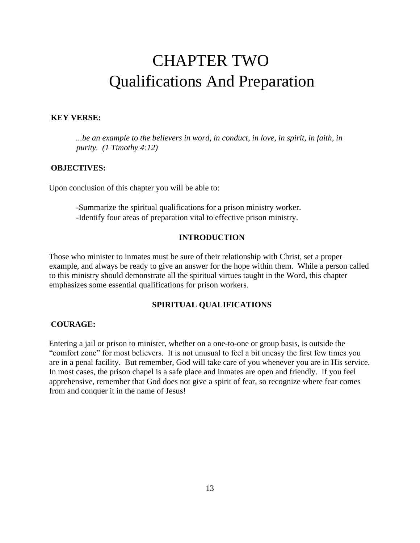## CHAPTER TWO Qualifications And Preparation

#### **KEY VERSE:**

*...be an example to the believers in word, in conduct, in love, in spirit, in faith, in purity. (1 Timothy 4:12)* 

#### **OBJECTIVES:**

Upon conclusion of this chapter you will be able to:

-Summarize the spiritual qualifications for a prison ministry worker. -Identify four areas of preparation vital to effective prison ministry.

#### **INTRODUCTION**

Those who minister to inmates must be sure of their relationship with Christ, set a proper example, and always be ready to give an answer for the hope within them. While a person called to this ministry should demonstrate all the spiritual virtues taught in the Word, this chapter emphasizes some essential qualifications for prison workers.

#### **SPIRITUAL QUALIFICATIONS**

#### **COURAGE:**

Entering a jail or prison to minister, whether on a one-to-one or group basis, is outside the "comfort zone" for most believers. It is not unusual to feel a bit uneasy the first few times you are in a penal facility. But remember, God will take care of you whenever you are in His service. In most cases, the prison chapel is a safe place and inmates are open and friendly. If you feel apprehensive, remember that God does not give a spirit of fear, so recognize where fear comes from and conquer it in the name of Jesus!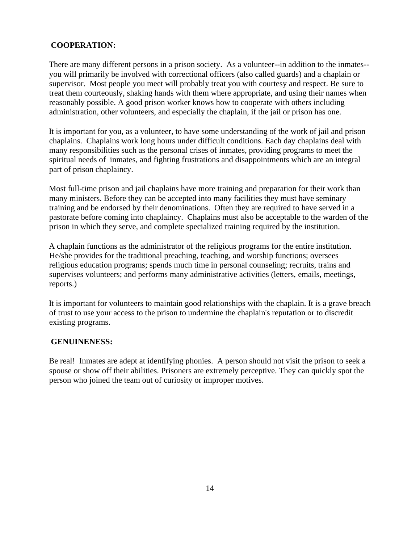#### **COOPERATION:**

There are many different persons in a prison society. As a volunteer--in addition to the inmates- you will primarily be involved with correctional officers (also called guards) and a chaplain or supervisor. Most people you meet will probably treat you with courtesy and respect. Be sure to treat them courteously, shaking hands with them where appropriate, and using their names when reasonably possible. A good prison worker knows how to cooperate with others including administration, other volunteers, and especially the chaplain, if the jail or prison has one.

It is important for you, as a volunteer, to have some understanding of the work of jail and prison chaplains. Chaplains work long hours under difficult conditions. Each day chaplains deal with many responsibilities such as the personal crises of inmates, providing programs to meet the spiritual needs of inmates, and fighting frustrations and disappointments which are an integral part of prison chaplaincy.

Most full-time prison and jail chaplains have more training and preparation for their work than many ministers. Before they can be accepted into many facilities they must have seminary training and be endorsed by their denominations. Often they are required to have served in a pastorate before coming into chaplaincy. Chaplains must also be acceptable to the warden of the prison in which they serve, and complete specialized training required by the institution.

A chaplain functions as the administrator of the religious programs for the entire institution. He/she provides for the traditional preaching, teaching, and worship functions; oversees religious education programs; spends much time in personal counseling; recruits, trains and supervises volunteers; and performs many administrative activities (letters, emails, meetings, reports.)

It is important for volunteers to maintain good relationships with the chaplain. It is a grave breach of trust to use your access to the prison to undermine the chaplain's reputation or to discredit existing programs.

#### **GENUINENESS:**

Be real! Inmates are adept at identifying phonies. A person should not visit the prison to seek a spouse or show off their abilities. Prisoners are extremely perceptive. They can quickly spot the person who joined the team out of curiosity or improper motives.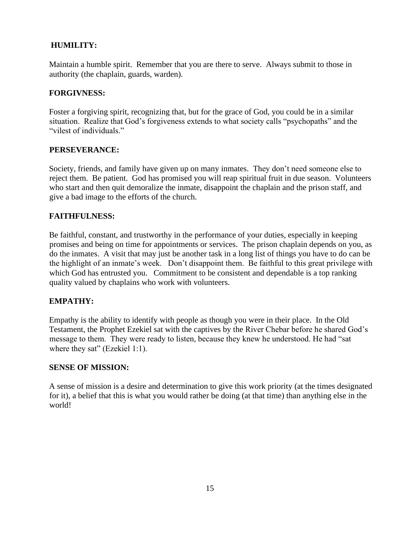#### **HUMILITY:**

Maintain a humble spirit. Remember that you are there to serve. Always submit to those in authority (the chaplain, guards, warden).

#### **FORGIVNESS:**

Foster a forgiving spirit, recognizing that, but for the grace of God, you could be in a similar situation. Realize that God's forgiveness extends to what society calls "psychopaths" and the "vilest of individuals."

#### **PERSEVERANCE:**

Society, friends, and family have given up on many inmates. They don't need someone else to reject them. Be patient. God has promised you will reap spiritual fruit in due season. Volunteers who start and then quit demoralize the inmate, disappoint the chaplain and the prison staff, and give a bad image to the efforts of the church.

#### **FAITHFULNESS:**

Be faithful, constant, and trustworthy in the performance of your duties, especially in keeping promises and being on time for appointments or services. The prison chaplain depends on you, as do the inmates. A visit that may just be another task in a long list of things you have to do can be the highlight of an inmate's week. Don't disappoint them. Be faithful to this great privilege with which God has entrusted you. Commitment to be consistent and dependable is a top ranking quality valued by chaplains who work with volunteers.

#### **EMPATHY:**

Empathy is the ability to identify with people as though you were in their place. In the Old Testament, the Prophet Ezekiel sat with the captives by the River Chebar before he shared God's message to them. They were ready to listen, because they knew he understood. He had "sat where they sat" (Ezekiel 1:1).

#### **SENSE OF MISSION:**

A sense of mission is a desire and determination to give this work priority (at the times designated for it), a belief that this is what you would rather be doing (at that time) than anything else in the world!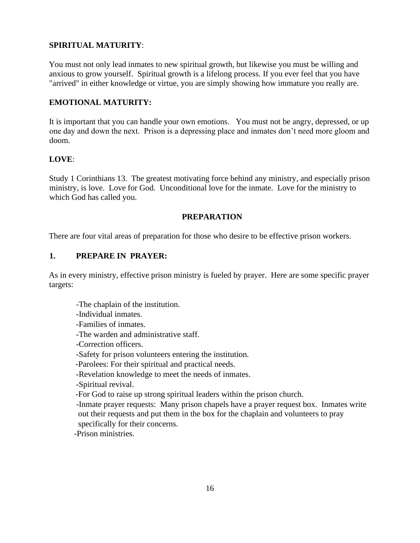#### **SPIRITUAL MATURITY**:

You must not only lead inmates to new spiritual growth, but likewise you must be willing and anxious to grow yourself. Spiritual growth is a lifelong process. If you ever feel that you have "arrived" in either knowledge or virtue, you are simply showing how immature you really are.

#### **EMOTIONAL MATURITY:**

It is important that you can handle your own emotions. You must not be angry, depressed, or up one day and down the next. Prison is a depressing place and inmates don't need more gloom and doom.

#### **LOVE**:

Study 1 Corinthians 13. The greatest motivating force behind any ministry, and especially prison ministry, is love. Love for God. Unconditional love for the inmate. Love for the ministry to which God has called you.

#### **PREPARATION**

There are four vital areas of preparation for those who desire to be effective prison workers.

#### **1. PREPARE IN PRAYER:**

As in every ministry, effective prison ministry is fueled by prayer. Here are some specific prayer targets:

- -The chaplain of the institution.
- -Individual inmates.
- -Families of inmates.
- -The warden and administrative staff.
- -Correction officers.
- -Safety for prison volunteers entering the institution.
- -Parolees: For their spiritual and practical needs.
- -Revelation knowledge to meet the needs of inmates.
- -Spiritual revival.
- -For God to raise up strong spiritual leaders within the prison church.
- -Inmate prayer requests: Many prison chapels have a prayer request box. Inmates write out their requests and put them in the box for the chaplain and volunteers to pray specifically for their concerns.

-Prison ministries.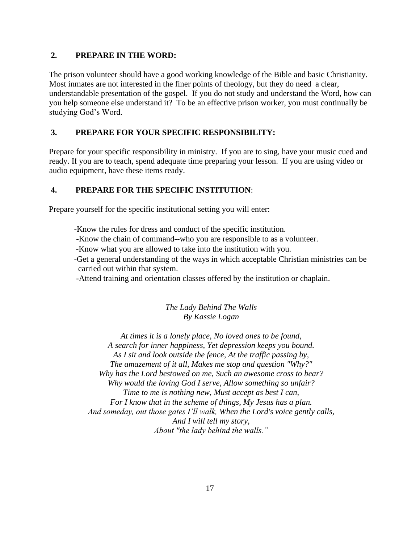#### **2. PREPARE IN THE WORD:**

The prison volunteer should have a good working knowledge of the Bible and basic Christianity. Most inmates are not interested in the finer points of theology, but they do need a clear, understandable presentation of the gospel. If you do not study and understand the Word, how can you help someone else understand it? To be an effective prison worker, you must continually be studying God's Word.

#### **3. PREPARE FOR YOUR SPECIFIC RESPONSIBILITY:**

Prepare for your specific responsibility in ministry. If you are to sing, have your music cued and ready. If you are to teach, spend adequate time preparing your lesson. If you are using video or audio equipment, have these items ready.

#### **4. PREPARE FOR THE SPECIFIC INSTITUTION**:

Prepare yourself for the specific institutional setting you will enter:

- -Know the rules for dress and conduct of the specific institution.
- -Know the chain of command--who you are responsible to as a volunteer.
- -Know what you are allowed to take into the institution with you.
- -Get a general understanding of the ways in which acceptable Christian ministries can be carried out within that system.
- -Attend training and orientation classes offered by the institution or chaplain.

*The Lady Behind The Walls By Kassie Logan*

*At times it is a lonely place, No loved ones to be found, A search for inner happiness, Yet depression keeps you bound. As I sit and look outside the fence, At the traffic passing by, The amazement of it all, Makes me stop and question "Why?" Why has the Lord bestowed on me, Such an awesome cross to bear? Why would the loving God I serve, Allow something so unfair? Time to me is nothing new, Must accept as best I can, For I know that in the scheme of things, My Jesus has a plan. And someday, out those gates I'll walk, When the Lord's voice gently calls, And I will tell my story, About "the lady behind the walls."*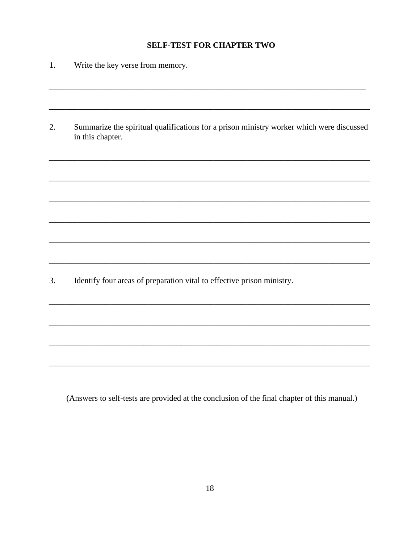#### **SELF-TEST FOR CHAPTER TWO**

- $1.$ Write the key verse from memory.
- $2.$ Summarize the spiritual qualifications for a prison ministry worker which were discussed in this chapter.

Identify four areas of preparation vital to effective prison ministry.  $\overline{3}$ .

(Answers to self-tests are provided at the conclusion of the final chapter of this manual.)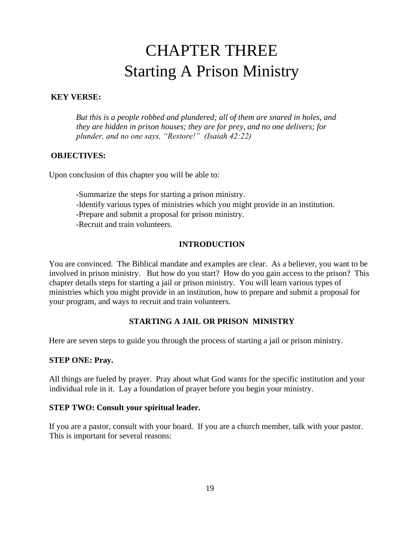## CHAPTER THREE Starting A Prison Ministry

#### **KEY VERSE:**

*But this is a people robbed and plundered; all of them are snared in holes, and they are hidden in prison houses; they are for prey, and no one delivers; for plunder, and no one says, "Restore!" (Isaiah 42:22)* 

#### **OBJECTIVES:**

Upon conclusion of this chapter you will be able to:

-Summarize the steps for starting a prison ministry.

- -Identify various types of ministries which you might provide in an institution.
- -Prepare and submit a proposal for prison ministry.
- -Recruit and train volunteers.

#### **INTRODUCTION**

You are convinced. The Biblical mandate and examples are clear. As a believer, you want to be involved in prison ministry. But how do you start? How do you gain access to the prison? This chapter details steps for starting a jail or prison ministry. You will learn various types of ministries which you might provide in an institution, how to prepare and submit a proposal for your program, and ways to recruit and train volunteers.

#### **STARTING A JAIL OR PRISON MINISTRY**

Here are seven steps to guide you through the process of starting a jail or prison ministry.

#### **STEP ONE: Pray.**

All things are fueled by prayer. Pray about what God wants for the specific institution and your individual role in it. Lay a foundation of prayer before you begin your ministry.

#### **STEP TWO: Consult your spiritual leader.**

If you are a pastor, consult with your board. If you are a church member, talk with your pastor. This is important for several reasons: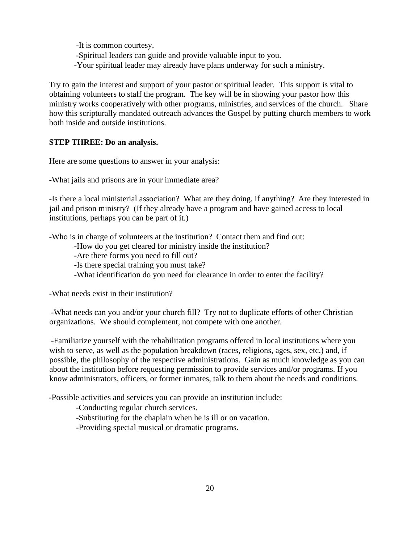-It is common courtesy. -Spiritual leaders can guide and provide valuable input to you. -Your spiritual leader may already have plans underway for such a ministry.

Try to gain the interest and support of your pastor or spiritual leader. This support is vital to obtaining volunteers to staff the program. The key will be in showing your pastor how this ministry works cooperatively with other programs, ministries, and services of the church. Share how this scripturally mandated outreach advances the Gospel by putting church members to work both inside and outside institutions.

#### **STEP THREE: Do an analysis.**

Here are some questions to answer in your analysis:

-What jails and prisons are in your immediate area?

-Is there a local ministerial association? What are they doing, if anything? Are they interested in jail and prison ministry? (If they already have a program and have gained access to local institutions, perhaps you can be part of it.)

-Who is in charge of volunteers at the institution? Contact them and find out:

-How do you get cleared for ministry inside the institution?

-Are there forms you need to fill out?

-Is there special training you must take?

-What identification do you need for clearance in order to enter the facility?

-What needs exist in their institution?

-What needs can you and/or your church fill? Try not to duplicate efforts of other Christian organizations. We should complement, not compete with one another.

-Familiarize yourself with the rehabilitation programs offered in local institutions where you wish to serve, as well as the population breakdown (races, religions, ages, sex, etc.) and, if possible, the philosophy of the respective administrations. Gain as much knowledge as you can about the institution before requesting permission to provide services and/or programs. If you know administrators, officers, or former inmates, talk to them about the needs and conditions.

-Possible activities and services you can provide an institution include:

-Conducting regular church services.

-Substituting for the chaplain when he is ill or on vacation.

-Providing special musical or dramatic programs.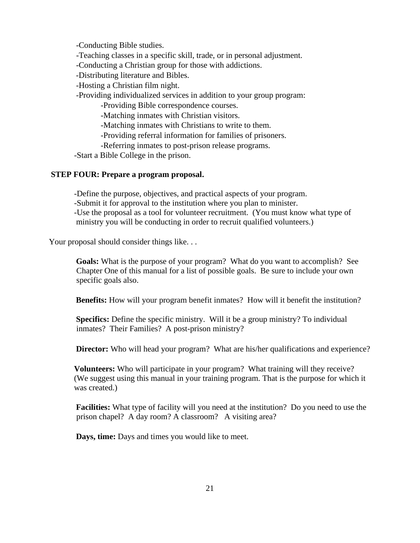-Conducting Bible studies.

-Teaching classes in a specific skill, trade, or in personal adjustment.

-Conducting a Christian group for those with addictions.

-Distributing literature and Bibles.

-Hosting a Christian film night.

-Providing individualized services in addition to your group program:

-Providing Bible correspondence courses.

-Matching inmates with Christian visitors.

-Matching inmates with Christians to write to them.

-Providing referral information for families of prisoners.

-Referring inmates to post-prison release programs.

-Start a Bible College in the prison.

#### **STEP FOUR: Prepare a program proposal.**

-Define the purpose, objectives, and practical aspects of your program.

-Submit it for approval to the institution where you plan to minister.

-Use the proposal as a tool for volunteer recruitment. (You must know what type of ministry you will be conducting in order to recruit qualified volunteers.)

Your proposal should consider things like...

**Goals:** What is the purpose of your program? What do you want to accomplish? See Chapter One of this manual for a list of possible goals. Be sure to include your own specific goals also.

**Benefits:** How will your program benefit inmates? How will it benefit the institution?

**Specifics:** Define the specific ministry. Will it be a group ministry? To individual inmates? Their Families? A post-prison ministry?

**Director:** Who will head your program? What are his/her qualifications and experience?

**Volunteers:** Who will participate in your program? What training will they receive? (We suggest using this manual in your training program. That is the purpose for which it was created.)

**Facilities:** What type of facility will you need at the institution? Do you need to use the prison chapel? A day room? A classroom? A visiting area?

**Days, time:** Days and times you would like to meet.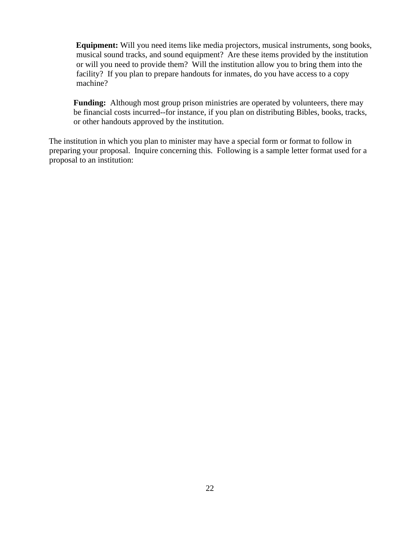**Equipment:** Will you need items like media projectors, musical instruments, song books, musical sound tracks, and sound equipment? Are these items provided by the institution or will you need to provide them? Will the institution allow you to bring them into the facility? If you plan to prepare handouts for inmates, do you have access to a copy machine?

**Funding:** Although most group prison ministries are operated by volunteers, there may be financial costs incurred--for instance, if you plan on distributing Bibles, books, tracks, or other handouts approved by the institution.

The institution in which you plan to minister may have a special form or format to follow in preparing your proposal. Inquire concerning this. Following is a sample letter format used for a proposal to an institution: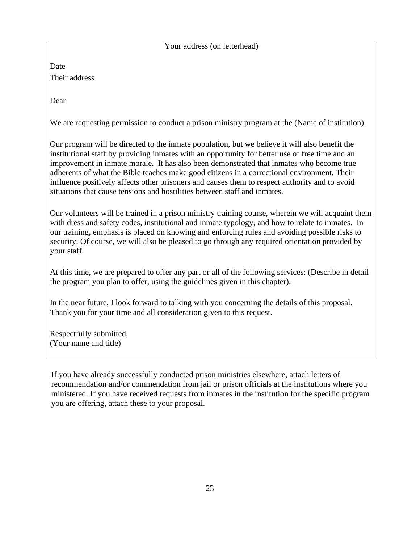Your address (on letterhead)

Date Their address

Dear

We are requesting permission to conduct a prison ministry program at the (Name of institution).

Our program will be directed to the inmate population, but we believe it will also benefit the institutional staff by providing inmates with an opportunity for better use of free time and an improvement in inmate morale. It has also been demonstrated that inmates who become true adherents of what the Bible teaches make good citizens in a correctional environment. Their influence positively affects other prisoners and causes them to respect authority and to avoid situations that cause tensions and hostilities between staff and inmates.

Our volunteers will be trained in a prison ministry training course, wherein we will acquaint them with dress and safety codes, institutional and inmate typology, and how to relate to inmates. In our training, emphasis is placed on knowing and enforcing rules and avoiding possible risks to security. Of course, we will also be pleased to go through any required orientation provided by your staff.

At this time, we are prepared to offer any part or all of the following services: (Describe in detail the program you plan to offer, using the guidelines given in this chapter).

In the near future, I look forward to talking with you concerning the details of this proposal. Thank you for your time and all consideration given to this request.

Respectfully submitted, (Your name and title)

If you have already successfully conducted prison ministries elsewhere, attach letters of recommendation and/or commendation from jail or prison officials at the institutions where you ministered. If you have received requests from inmates in the institution for the specific program you are offering, attach these to your proposal.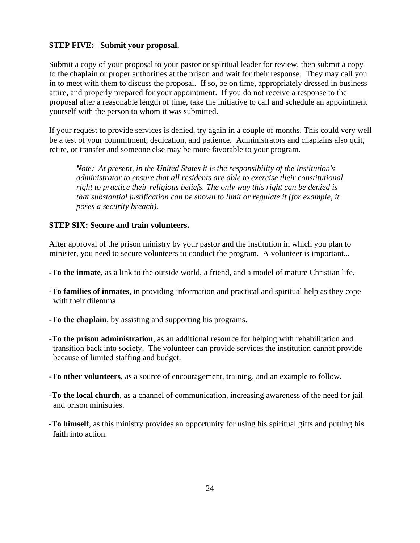#### **STEP FIVE: Submit your proposal.**

Submit a copy of your proposal to your pastor or spiritual leader for review, then submit a copy to the chaplain or proper authorities at the prison and wait for their response. They may call you in to meet with them to discuss the proposal. If so, be on time, appropriately dressed in business attire, and properly prepared for your appointment. If you do not receive a response to the proposal after a reasonable length of time, take the initiative to call and schedule an appointment yourself with the person to whom it was submitted.

If your request to provide services is denied, try again in a couple of months. This could very well be a test of your commitment, dedication, and patience. Administrators and chaplains also quit, retire, or transfer and someone else may be more favorable to your program.

*Note: At present, in the United States it is the responsibility of the institution's administrator to ensure that all residents are able to exercise their constitutional right to practice their religious beliefs. The only way this right can be denied is that substantial justification can be shown to limit or regulate it (for example, it poses a security breach).* 

#### **STEP SIX: Secure and train volunteers.**

After approval of the prison ministry by your pastor and the institution in which you plan to minister, you need to secure volunteers to conduct the program. A volunteer is important...

- **-To the inmate**, as a link to the outside world, a friend, and a model of mature Christian life.
- **-To families of inmates**, in providing information and practical and spiritual help as they cope with their dilemma.
- **-To the chaplain**, by assisting and supporting his programs.
- **-To the prison administration**, as an additional resource for helping with rehabilitation and transition back into society. The volunteer can provide services the institution cannot provide because of limited staffing and budget.
- **-To other volunteers**, as a source of encouragement, training, and an example to follow.
- **-To the local church**, as a channel of communication, increasing awareness of the need for jail and prison ministries.
- **-To himself**, as this ministry provides an opportunity for using his spiritual gifts and putting his faith into action.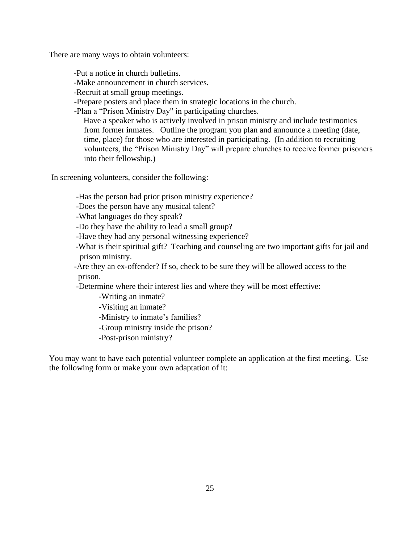There are many ways to obtain volunteers:

-Put a notice in church bulletins.

-Make announcement in church services.

-Recruit at small group meetings.

-Prepare posters and place them in strategic locations in the church.

-Plan a "Prison Ministry Day" in participating churches.

Have a speaker who is actively involved in prison ministry and include testimonies from former inmates. Outline the program you plan and announce a meeting (date, time, place) for those who are interested in participating. (In addition to recruiting volunteers, the "Prison Ministry Day" will prepare churches to receive former prisoners into their fellowship.)

In screening volunteers, consider the following:

-Has the person had prior prison ministry experience?

-Does the person have any musical talent?

-What languages do they speak?

-Do they have the ability to lead a small group?

-Have they had any personal witnessing experience?

-What is their spiritual gift? Teaching and counseling are two important gifts for jail and prison ministry.

-Are they an ex-offender? If so, check to be sure they will be allowed access to the prison.

-Determine where their interest lies and where they will be most effective:

-Writing an inmate?

-Visiting an inmate?

-Ministry to inmate's families?

-Group ministry inside the prison?

-Post-prison ministry?

You may want to have each potential volunteer complete an application at the first meeting. Use the following form or make your own adaptation of it: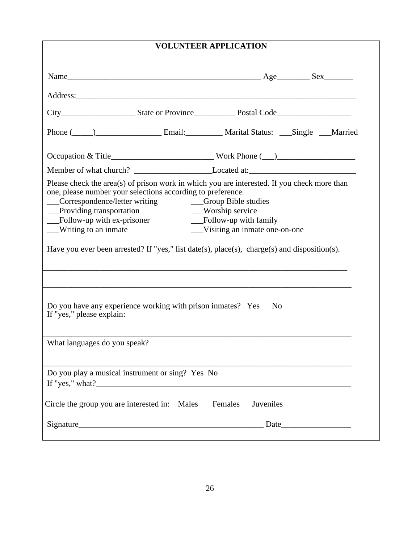| <b>VOLUNTEER APPLICATION</b>                                                                                                                                                                                                                                                                                                                                                                                 |                                                                                                          |
|--------------------------------------------------------------------------------------------------------------------------------------------------------------------------------------------------------------------------------------------------------------------------------------------------------------------------------------------------------------------------------------------------------------|----------------------------------------------------------------------------------------------------------|
|                                                                                                                                                                                                                                                                                                                                                                                                              |                                                                                                          |
|                                                                                                                                                                                                                                                                                                                                                                                                              |                                                                                                          |
|                                                                                                                                                                                                                                                                                                                                                                                                              |                                                                                                          |
| Phone (Channel Languard Email: Languard Marital Status: Languard Married                                                                                                                                                                                                                                                                                                                                     |                                                                                                          |
| Occupation & Title______________________________Work Phone (__)__________________                                                                                                                                                                                                                                                                                                                            |                                                                                                          |
|                                                                                                                                                                                                                                                                                                                                                                                                              |                                                                                                          |
| Please check the area(s) of prison work in which you are interested. If you check more than<br>one, please number your selections according to preference.<br>__Correspondence/letter writing<br>__Providing transportation<br>$\overline{\phantom{a}}$ Follow-up with ex-prisoner<br>__Writing to an inmate<br>Have you ever been arrested? If "yes," list date(s), place(s), charge(s) and disposition(s). | __Group Bible studies<br>__Worship service<br>__Follow-up with family<br>__Visiting an inmate one-on-one |
|                                                                                                                                                                                                                                                                                                                                                                                                              |                                                                                                          |
| Do you have any experience working with prison inmates? Yes<br>If "yes," please explain:                                                                                                                                                                                                                                                                                                                     | N <sub>0</sub>                                                                                           |
| What languages do you speak?                                                                                                                                                                                                                                                                                                                                                                                 |                                                                                                          |
| Do you play a musical instrument or sing? Yes No                                                                                                                                                                                                                                                                                                                                                             |                                                                                                          |
| Circle the group you are interested in: Males Females                                                                                                                                                                                                                                                                                                                                                        | Juveniles                                                                                                |
|                                                                                                                                                                                                                                                                                                                                                                                                              |                                                                                                          |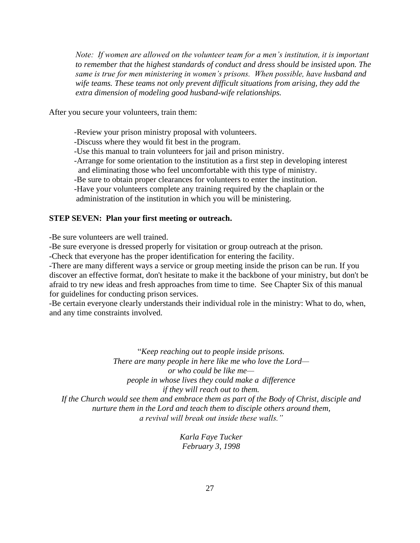*Note: If women are allowed on the volunteer team for a men's institution, it is important to remember that the highest standards of conduct and dress should be insisted upon. The same is true for men ministering in women's prisons. When possible, have husband and wife teams. These teams not only prevent difficult situations from arising, they add the extra dimension of modeling good husband-wife relationships.*

After you secure your volunteers, train them:

-Review your prison ministry proposal with volunteers.

-Discuss where they would fit best in the program.

-Use this manual to train volunteers for jail and prison ministry.

-Arrange for some orientation to the institution as a first step in developing interest and eliminating those who feel uncomfortable with this type of ministry.

-Be sure to obtain proper clearances for volunteers to enter the institution.

-Have your volunteers complete any training required by the chaplain or the

administration of the institution in which you will be ministering.

#### **STEP SEVEN: Plan your first meeting or outreach.**

-Be sure volunteers are well trained.

-Be sure everyone is dressed properly for visitation or group outreach at the prison.

-Check that everyone has the proper identification for entering the facility.

-There are many different ways a service or group meeting inside the prison can be run. If you discover an effective format, don't hesitate to make it the backbone of your ministry, but don't be afraid to try new ideas and fresh approaches from time to time. See Chapter Six of this manual for guidelines for conducting prison services.

-Be certain everyone clearly understands their individual role in the ministry: What to do, when, and any time constraints involved.

"*Keep reaching out to people inside prisons. There are many people in here like me who love the Lord or who could be like me people in whose lives they could make a difference if they will reach out to them. If the Church would see them and embrace them as part of the Body of Christ, disciple and nurture them in the Lord and teach them to disciple others around them, a revival will break out inside these walls."*

> *Karla Faye Tucker February 3, 1998*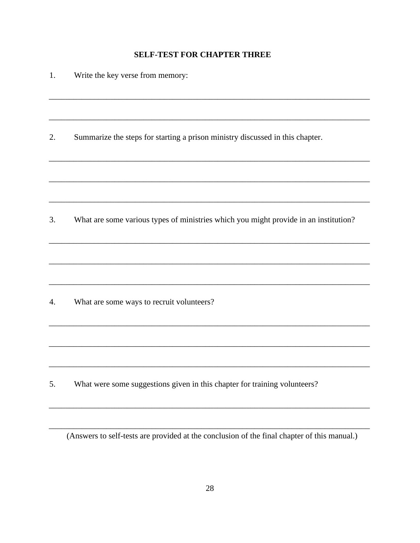#### **SELF-TEST FOR CHAPTER THREE**

| 1. | Write the key verse from memory:                                                     |
|----|--------------------------------------------------------------------------------------|
|    |                                                                                      |
| 2. | Summarize the steps for starting a prison ministry discussed in this chapter.        |
|    |                                                                                      |
| 3. | What are some various types of ministries which you might provide in an institution? |
|    |                                                                                      |
|    |                                                                                      |
| 4. | What are some ways to recruit volunteers?                                            |
|    |                                                                                      |
|    |                                                                                      |
| 5. | What were some suggestions given in this chapter for training volunteers?            |

(Answers to self-tests are provided at the conclusion of the final chapter of this manual.)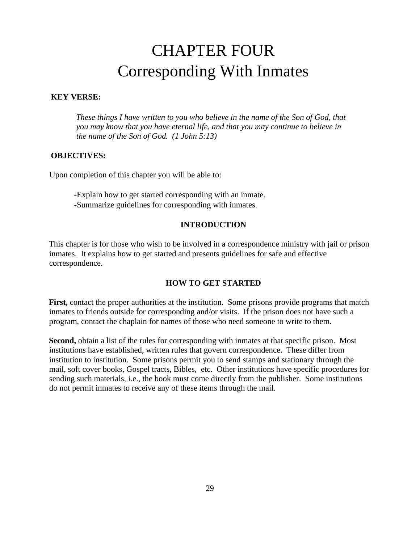## CHAPTER FOUR Corresponding With Inmates

#### **KEY VERSE:**

*These things I have written to you who believe in the name of the Son of God, that you may know that you have eternal life, and that you may continue to believe in the name of the Son of God. (1 John 5:13)* 

#### **OBJECTIVES:**

Upon completion of this chapter you will be able to:

-Explain how to get started corresponding with an inmate. -Summarize guidelines for corresponding with inmates.

#### **INTRODUCTION**

This chapter is for those who wish to be involved in a correspondence ministry with jail or prison inmates. It explains how to get started and presents guidelines for safe and effective correspondence.

#### **HOW TO GET STARTED**

**First,** contact the proper authorities at the institution. Some prisons provide programs that match inmates to friends outside for corresponding and/or visits. If the prison does not have such a program, contact the chaplain for names of those who need someone to write to them.

**Second,** obtain a list of the rules for corresponding with inmates at that specific prison. Most institutions have established, written rules that govern correspondence. These differ from institution to institution. Some prisons permit you to send stamps and stationary through the mail, soft cover books, Gospel tracts, Bibles, etc. Other institutions have specific procedures for sending such materials, i.e., the book must come directly from the publisher. Some institutions do not permit inmates to receive any of these items through the mail.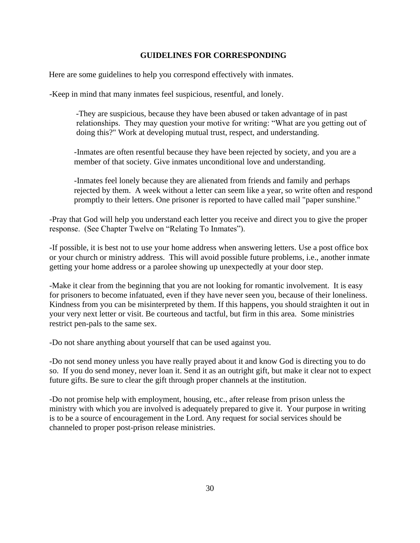#### **GUIDELINES FOR CORRESPONDING**

Here are some guidelines to help you correspond effectively with inmates.

-Keep in mind that many inmates feel suspicious, resentful, and lonely.

-They are suspicious, because they have been abused or taken advantage of in past relationships. They may question your motive for writing: "What are you getting out of doing this?" Work at developing mutual trust, respect, and understanding.

-Inmates are often resentful because they have been rejected by society, and you are a member of that society. Give inmates unconditional love and understanding.

-Inmates feel lonely because they are alienated from friends and family and perhaps rejected by them. A week without a letter can seem like a year, so write often and respond promptly to their letters. One prisoner is reported to have called mail "paper sunshine."

-Pray that God will help you understand each letter you receive and direct you to give the proper response. (See Chapter Twelve on "Relating To Inmates").

-If possible, it is best not to use your home address when answering letters. Use a post office box or your church or ministry address. This will avoid possible future problems, i.e., another inmate getting your home address or a parolee showing up unexpectedly at your door step.

-Make it clear from the beginning that you are not looking for romantic involvement. It is easy for prisoners to become infatuated, even if they have never seen you, because of their loneliness. Kindness from you can be misinterpreted by them. If this happens, you should straighten it out in your very next letter or visit. Be courteous and tactful, but firm in this area. Some ministries restrict pen-pals to the same sex.

-Do not share anything about yourself that can be used against you.

-Do not send money unless you have really prayed about it and know God is directing you to do so. If you do send money, never loan it. Send it as an outright gift, but make it clear not to expect future gifts. Be sure to clear the gift through proper channels at the institution.

-Do not promise help with employment, housing, etc., after release from prison unless the ministry with which you are involved is adequately prepared to give it. Your purpose in writing is to be a source of encouragement in the Lord. Any request for social services should be channeled to proper post-prison release ministries.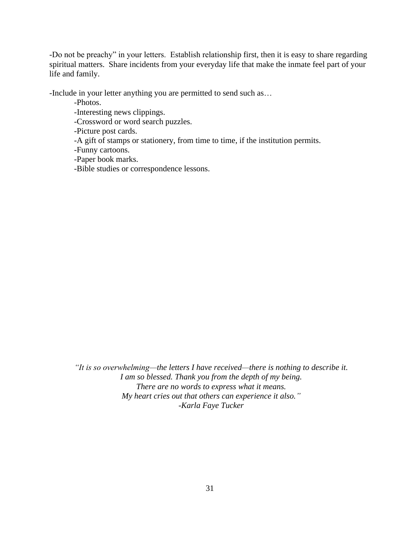-Do not be preachy" in your letters. Establish relationship first, then it is easy to share regarding spiritual matters. Share incidents from your everyday life that make the inmate feel part of your life and family.

-Include in your letter anything you are permitted to send such as…

-Photos.

-Interesting news clippings.

-Crossword or word search puzzles.

-Picture post cards.

-A gift of stamps or stationery, from time to time, if the institution permits.

-Funny cartoons.

-Paper book marks.

-Bible studies or correspondence lessons.

*"It is so overwhelming—the letters I have received—there is nothing to describe it. I am so blessed. Thank you from the depth of my being. There are no words to express what it means. My heart cries out that others can experience it also." -Karla Faye Tucker*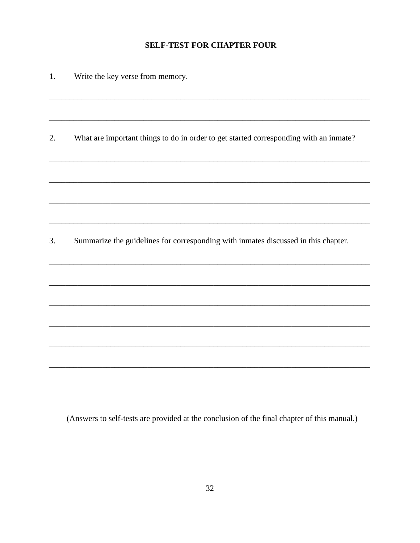#### **SELF-TEST FOR CHAPTER FOUR**

1. Write the key verse from memory.

What are important things to do in order to get started corresponding with an inmate? 2.

Summarize the guidelines for corresponding with inmates discussed in this chapter. 3.

(Answers to self-tests are provided at the conclusion of the final chapter of this manual.)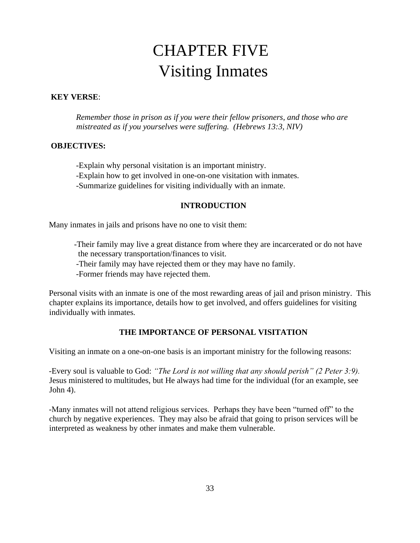## CHAPTER FIVE Visiting Inmates

#### **KEY VERSE**:

*Remember those in prison as if you were their fellow prisoners, and those who are mistreated as if you yourselves were suffering. (Hebrews 13:3, NIV)* 

#### **OBJECTIVES:**

-Explain why personal visitation is an important ministry.

-Explain how to get involved in one-on-one visitation with inmates.

-Summarize guidelines for visiting individually with an inmate.

#### **INTRODUCTION**

Many inmates in jails and prisons have no one to visit them:

-Their family may live a great distance from where they are incarcerated or do not have the necessary transportation/finances to visit.

-Their family may have rejected them or they may have no family.

-Former friends may have rejected them.

Personal visits with an inmate is one of the most rewarding areas of jail and prison ministry. This chapter explains its importance, details how to get involved, and offers guidelines for visiting individually with inmates.

#### **THE IMPORTANCE OF PERSONAL VISITATION**

Visiting an inmate on a one-on-one basis is an important ministry for the following reasons:

-Every soul is valuable to God: *"The Lord is not willing that any should perish" (2 Peter 3:9).* Jesus ministered to multitudes, but He always had time for the individual (for an example, see John 4).

-Many inmates will not attend religious services. Perhaps they have been "turned off" to the church by negative experiences. They may also be afraid that going to prison services will be interpreted as weakness by other inmates and make them vulnerable.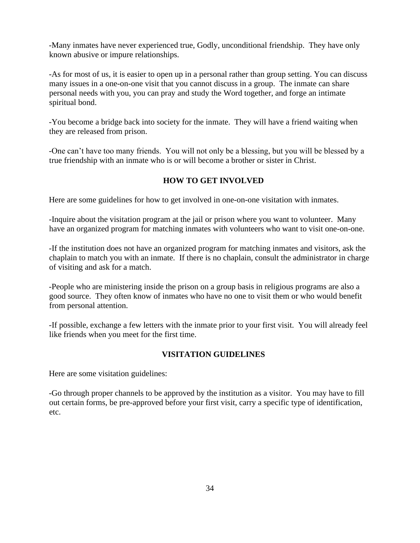-Many inmates have never experienced true, Godly, unconditional friendship. They have only known abusive or impure relationships.

-As for most of us, it is easier to open up in a personal rather than group setting. You can discuss many issues in a one-on-one visit that you cannot discuss in a group. The inmate can share personal needs with you, you can pray and study the Word together, and forge an intimate spiritual bond.

-You become a bridge back into society for the inmate. They will have a friend waiting when they are released from prison.

-One can't have too many friends. You will not only be a blessing, but you will be blessed by a true friendship with an inmate who is or will become a brother or sister in Christ.

#### **HOW TO GET INVOLVED**

Here are some guidelines for how to get involved in one-on-one visitation with inmates.

-Inquire about the visitation program at the jail or prison where you want to volunteer. Many have an organized program for matching inmates with volunteers who want to visit one-on-one.

-If the institution does not have an organized program for matching inmates and visitors, ask the chaplain to match you with an inmate. If there is no chaplain, consult the administrator in charge of visiting and ask for a match.

-People who are ministering inside the prison on a group basis in religious programs are also a good source. They often know of inmates who have no one to visit them or who would benefit from personal attention.

-If possible, exchange a few letters with the inmate prior to your first visit. You will already feel like friends when you meet for the first time.

#### **VISITATION GUIDELINES**

Here are some visitation guidelines:

-Go through proper channels to be approved by the institution as a visitor. You may have to fill out certain forms, be pre-approved before your first visit, carry a specific type of identification, etc.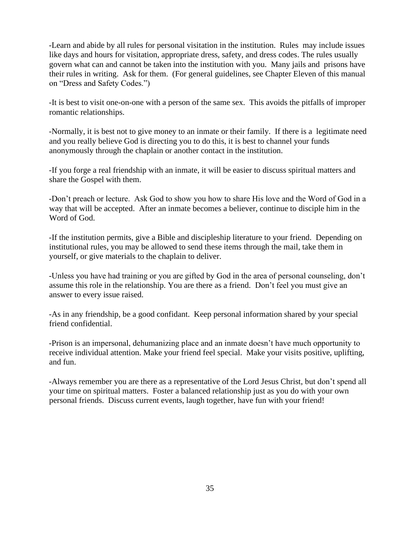-Learn and abide by all rules for personal visitation in the institution. Rules may include issues like days and hours for visitation, appropriate dress, safety, and dress codes. The rules usually govern what can and cannot be taken into the institution with you. Many jails and prisons have their rules in writing. Ask for them. (For general guidelines, see Chapter Eleven of this manual on "Dress and Safety Codes.")

-It is best to visit one-on-one with a person of the same sex. This avoids the pitfalls of improper romantic relationships.

-Normally, it is best not to give money to an inmate or their family. If there is a legitimate need and you really believe God is directing you to do this, it is best to channel your funds anonymously through the chaplain or another contact in the institution.

-If you forge a real friendship with an inmate, it will be easier to discuss spiritual matters and share the Gospel with them.

-Don't preach or lecture. Ask God to show you how to share His love and the Word of God in a way that will be accepted. After an inmate becomes a believer, continue to disciple him in the Word of God.

-If the institution permits, give a Bible and discipleship literature to your friend. Depending on institutional rules, you may be allowed to send these items through the mail, take them in yourself, or give materials to the chaplain to deliver.

-Unless you have had training or you are gifted by God in the area of personal counseling, don't assume this role in the relationship. You are there as a friend. Don't feel you must give an answer to every issue raised.

-As in any friendship, be a good confidant. Keep personal information shared by your special friend confidential.

-Prison is an impersonal, dehumanizing place and an inmate doesn't have much opportunity to receive individual attention. Make your friend feel special. Make your visits positive, uplifting, and fun.

-Always remember you are there as a representative of the Lord Jesus Christ, but don't spend all your time on spiritual matters. Foster a balanced relationship just as you do with your own personal friends. Discuss current events, laugh together, have fun with your friend!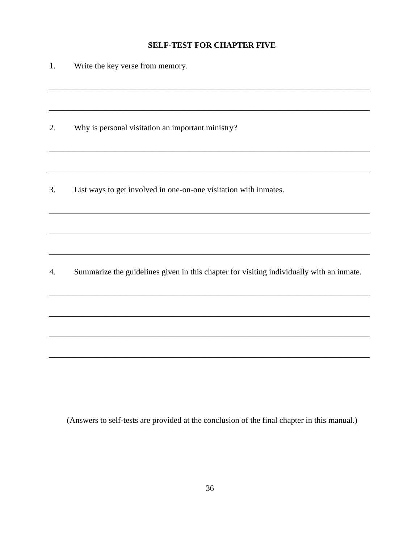#### **SELF-TEST FOR CHAPTER FIVE**

| 1. | Write the key verse from memory.                                                         |
|----|------------------------------------------------------------------------------------------|
|    |                                                                                          |
| 2. | Why is personal visitation an important ministry?                                        |
|    |                                                                                          |
| 3. | List ways to get involved in one-on-one visitation with inmates.                         |
|    |                                                                                          |
|    |                                                                                          |
| 4. | Summarize the guidelines given in this chapter for visiting individually with an inmate. |
|    |                                                                                          |

(Answers to self-tests are provided at the conclusion of the final chapter in this manual.)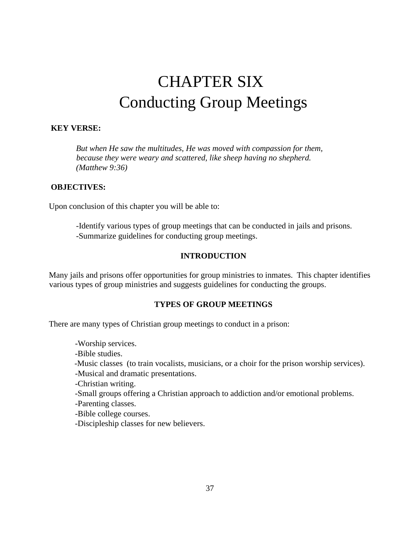# CHAPTER SIX Conducting Group Meetings

# **KEY VERSE:**

*But when He saw the multitudes, He was moved with compassion for them, because they were weary and scattered, like sheep having no shepherd. (Matthew 9:36)* 

#### **OBJECTIVES:**

Upon conclusion of this chapter you will be able to:

-Identify various types of group meetings that can be conducted in jails and prisons. -Summarize guidelines for conducting group meetings.

## **INTRODUCTION**

Many jails and prisons offer opportunities for group ministries to inmates. This chapter identifies various types of group ministries and suggests guidelines for conducting the groups.

## **TYPES OF GROUP MEETINGS**

There are many types of Christian group meetings to conduct in a prison:

-Worship services.

-Bible studies.

-Music classes (to train vocalists, musicians, or a choir for the prison worship services).

-Musical and dramatic presentations.

-Christian writing.

-Small groups offering a Christian approach to addiction and/or emotional problems.

-Parenting classes.

-Bible college courses.

-Discipleship classes for new believers.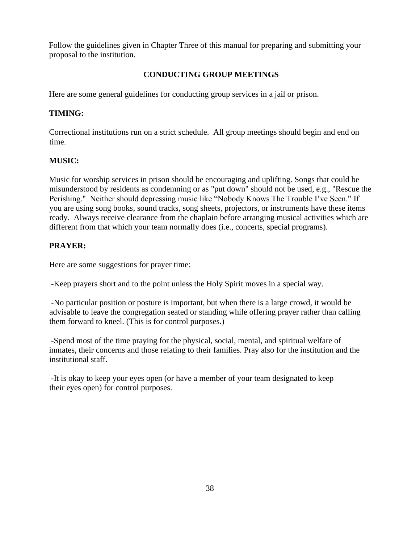Follow the guidelines given in Chapter Three of this manual for preparing and submitting your proposal to the institution.

# **CONDUCTING GROUP MEETINGS**

Here are some general guidelines for conducting group services in a jail or prison.

# **TIMING:**

Correctional institutions run on a strict schedule. All group meetings should begin and end on time.

# **MUSIC:**

Music for worship services in prison should be encouraging and uplifting. Songs that could be misunderstood by residents as condemning or as "put down" should not be used, e.g., "Rescue the Perishing." Neither should depressing music like "Nobody Knows The Trouble I've Seen." If you are using song books, sound tracks, song sheets, projectors, or instruments have these items ready. Always receive clearance from the chaplain before arranging musical activities which are different from that which your team normally does (i.e., concerts, special programs).

# **PRAYER:**

Here are some suggestions for prayer time:

-Keep prayers short and to the point unless the Holy Spirit moves in a special way.

-No particular position or posture is important, but when there is a large crowd, it would be advisable to leave the congregation seated or standing while offering prayer rather than calling them forward to kneel. (This is for control purposes.)

-Spend most of the time praying for the physical, social, mental, and spiritual welfare of inmates, their concerns and those relating to their families. Pray also for the institution and the institutional staff.

-It is okay to keep your eyes open (or have a member of your team designated to keep their eyes open) for control purposes.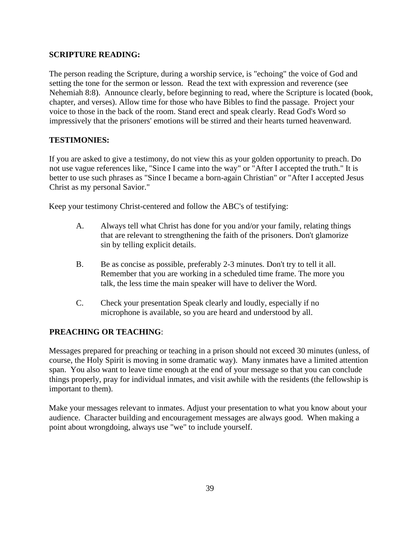# **SCRIPTURE READING:**

The person reading the Scripture, during a worship service, is "echoing" the voice of God and setting the tone for the sermon or lesson. Read the text with expression and reverence (see Nehemiah 8:8). Announce clearly, before beginning to read, where the Scripture is located (book, chapter, and verses). Allow time for those who have Bibles to find the passage. Project your voice to those in the back of the room. Stand erect and speak clearly. Read God's Word so impressively that the prisoners' emotions will be stirred and their hearts turned heavenward.

# **TESTIMONIES:**

If you are asked to give a testimony, do not view this as your golden opportunity to preach. Do not use vague references like, "Since I came into the way" or "After I accepted the truth." It is better to use such phrases as "Since I became a born-again Christian" or "After I accepted Jesus Christ as my personal Savior."

Keep your testimony Christ-centered and follow the ABC's of testifying:

- A. Always tell what Christ has done for you and/or your family, relating things that are relevant to strengthening the faith of the prisoners. Don't glamorize sin by telling explicit details.
- B. Be as concise as possible, preferably 2-3 minutes. Don't try to tell it all. Remember that you are working in a scheduled time frame. The more you talk, the less time the main speaker will have to deliver the Word.
- C. Check your presentation Speak clearly and loudly, especially if no microphone is available, so you are heard and understood by all.

# **PREACHING OR TEACHING**:

Messages prepared for preaching or teaching in a prison should not exceed 30 minutes (unless, of course, the Holy Spirit is moving in some dramatic way). Many inmates have a limited attention span. You also want to leave time enough at the end of your message so that you can conclude things properly, pray for individual inmates, and visit awhile with the residents (the fellowship is important to them).

Make your messages relevant to inmates. Adjust your presentation to what you know about your audience. Character building and encouragement messages are always good. When making a point about wrongdoing, always use "we" to include yourself.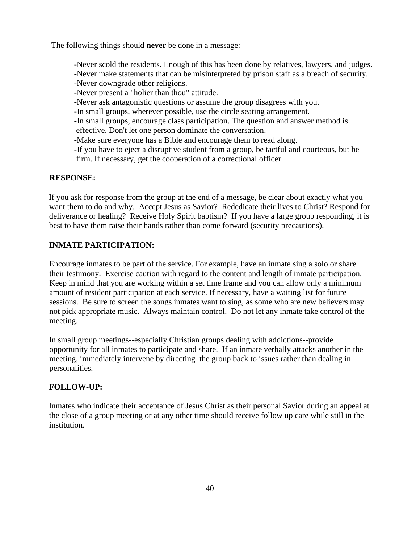The following things should **never** be done in a message:

-Never scold the residents. Enough of this has been done by relatives, lawyers, and judges. -Never make statements that can be misinterpreted by prison staff as a breach of security. -Never downgrade other religions. -Never present a "holier than thou" attitude. -Never ask antagonistic questions or assume the group disagrees with you. -In small groups, wherever possible, use the circle seating arrangement. -In small groups, encourage class participation. The question and answer method is effective. Don't let one person dominate the conversation. -Make sure everyone has a Bible and encourage them to read along. -If you have to eject a disruptive student from a group, be tactful and courteous, but be

firm. If necessary, get the cooperation of a correctional officer.

# **RESPONSE:**

If you ask for response from the group at the end of a message, be clear about exactly what you want them to do and why. Accept Jesus as Savior? Rededicate their lives to Christ? Respond for deliverance or healing? Receive Holy Spirit baptism? If you have a large group responding, it is best to have them raise their hands rather than come forward (security precautions).

# **INMATE PARTICIPATION:**

Encourage inmates to be part of the service. For example, have an inmate sing a solo or share their testimony. Exercise caution with regard to the content and length of inmate participation. Keep in mind that you are working within a set time frame and you can allow only a minimum amount of resident participation at each service. If necessary, have a waiting list for future sessions. Be sure to screen the songs inmates want to sing, as some who are new believers may not pick appropriate music. Always maintain control. Do not let any inmate take control of the meeting.

In small group meetings--especially Christian groups dealing with addictions--provide opportunity for all inmates to participate and share. If an inmate verbally attacks another in the meeting, immediately intervene by directing the group back to issues rather than dealing in personalities.

## **FOLLOW-UP:**

Inmates who indicate their acceptance of Jesus Christ as their personal Savior during an appeal at the close of a group meeting or at any other time should receive follow up care while still in the institution.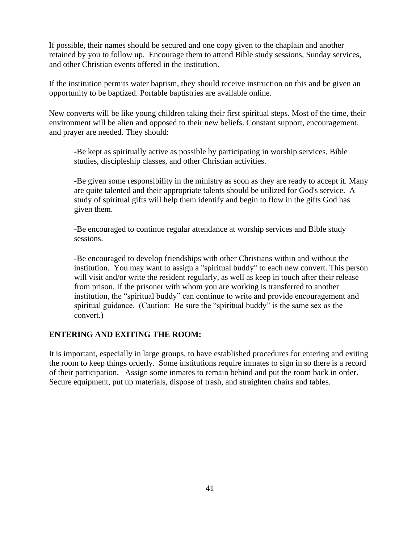If possible, their names should be secured and one copy given to the chaplain and another retained by you to follow up. Encourage them to attend Bible study sessions, Sunday services, and other Christian events offered in the institution.

If the institution permits water baptism, they should receive instruction on this and be given an opportunity to be baptized. Portable baptistries are available online.

New converts will be like young children taking their first spiritual steps. Most of the time, their environment will be alien and opposed to their new beliefs. Constant support, encouragement, and prayer are needed. They should:

-Be kept as spiritually active as possible by participating in worship services, Bible studies, discipleship classes, and other Christian activities.

-Be given some responsibility in the ministry as soon as they are ready to accept it. Many are quite talented and their appropriate talents should be utilized for God's service. A study of spiritual gifts will help them identify and begin to flow in the gifts God has given them.

-Be encouraged to continue regular attendance at worship services and Bible study sessions.

-Be encouraged to develop friendships with other Christians within and without the institution. You may want to assign a "spiritual buddy" to each new convert. This person will visit and/or write the resident regularly, as well as keep in touch after their release from prison. If the prisoner with whom you are working is transferred to another institution, the "spiritual buddy" can continue to write and provide encouragement and spiritual guidance. (Caution: Be sure the "spiritual buddy" is the same sex as the convert.)

#### **ENTERING AND EXITING THE ROOM:**

It is important, especially in large groups, to have established procedures for entering and exiting the room to keep things orderly. Some institutions require inmates to sign in so there is a record of their participation. Assign some inmates to remain behind and put the room back in order. Secure equipment, put up materials, dispose of trash, and straighten chairs and tables.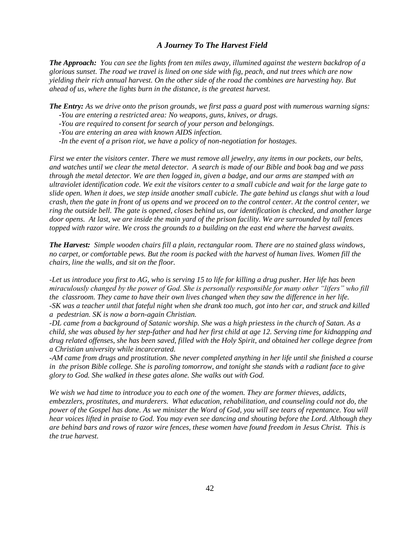#### *A Journey To The Harvest Field*

*The Approach: You can see the lights from ten miles away, illumined against the western backdrop of a glorious sunset. The road we travel is lined on one side with fig, peach, and nut trees which are now yielding their rich annual harvest. On the other side of the road the combines are harvesting hay. But ahead of us, where the lights burn in the distance, is the greatest harvest.* 

*The Entry: As we drive onto the prison grounds, we first pass a guard post with numerous warning signs:* 

- *-You are entering a restricted area: No weapons, guns, knives, or drugs.*
- *-You are required to consent for search of your person and belongings.*

 *-You are entering an area with known AIDS infection.* 

 *-In the event of a prison riot, we have a policy of non-negotiation for hostages.* 

*First we enter the visitors center. There we must remove all jewelry, any items in our pockets, our belts, and watches until we clear the metal detector. A search is made of our Bible and book bag and we pass through the metal detector. We are then logged in, given a badge, and our arms are stamped with an ultraviolet identification code. We exit the visitors center to a small cubicle and wait for the large gate to slide open. When it does, we step inside another small cubicle. The gate behind us clangs shut with a loud crash, then the gate in front of us opens and we proceed on to the control center. At the control center, we ring the outside bell. The gate is opened, closes behind us, our identification is checked, and another large door opens. At last, we are inside the main yard of the prison facility. We are surrounded by tall fences topped with razor wire. We cross the grounds to a building on the east end where the harvest awaits.* 

*The Harvest: Simple wooden chairs fill a plain, rectangular room. There are no stained glass windows, no carpet, or comfortable pews. But the room is packed with the harvest of human lives. Women fill the chairs, line the walls, and sit on the floor.* 

*-Let us introduce you first to AG, who is serving 15 to life for killing a drug pusher. Her life has been miraculously changed by the power of God. She is personally responsible for many other "lifers" who fill the classroom. They came to have their own lives changed when they saw the difference in her life. -SK was a teacher until that fateful night when she drank too much, got into her car, and struck and killed a pedestrian. SK is now a born-again Christian.* 

*-DL came from a background of Satanic worship. She was a high priestess in the church of Satan. As a child, she was abused by her step-father and had her first child at age 12. Serving time for kidnapping and drug related offenses, she has been saved, filled with the Holy Spirit, and obtained her college degree from a Christian university while incarcerated.* 

*-AM came from drugs and prostitution. She never completed anything in her life until she finished a course in the prison Bible college. She is paroling tomorrow, and tonight she stands with a radiant face to give glory to God. She walked in these gates alone. She walks out with God.* 

*We wish we had time to introduce you to each one of the women. They are former thieves, addicts, embezzlers, prostitutes, and murderers. What education, rehabilitation, and counseling could not do, the power of the Gospel has done. As we minister the Word of God, you will see tears of repentance. You will hear voices lifted in praise to God. You may even see dancing and shouting before the Lord. Although they are behind bars and rows of razor wire fences, these women have found freedom in Jesus Christ. This is the true harvest.*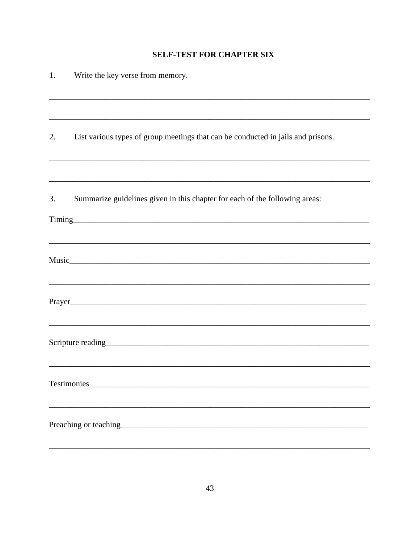# **SELF-TEST FOR CHAPTER SIX**

| 1. | Write the key verse from memory.                                                 |
|----|----------------------------------------------------------------------------------|
|    |                                                                                  |
| 2. | List various types of group meetings that can be conducted in jails and prisons. |
|    |                                                                                  |
| 3. | Summarize guidelines given in this chapter for each of the following areas:      |
|    |                                                                                  |
|    |                                                                                  |
|    |                                                                                  |
|    | Scripture reading Scripture reading                                              |
|    |                                                                                  |
|    |                                                                                  |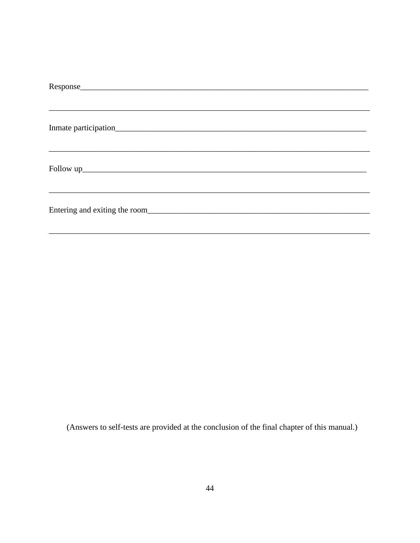(Answers to self-tests are provided at the conclusion of the final chapter of this manual.)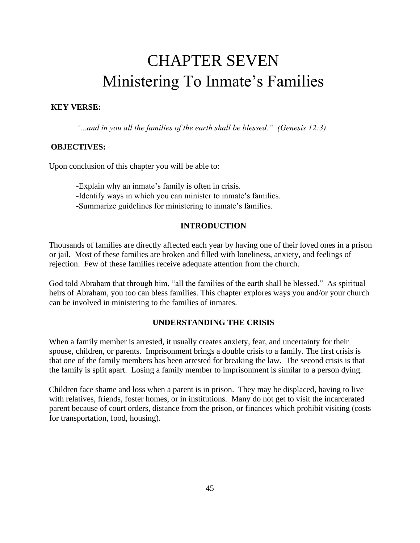# CHAPTER SEVEN Ministering To Inmate's Families

#### **KEY VERSE:**

*"...and in you all the families of the earth shall be blessed." (Genesis 12:3)* 

#### **OBJECTIVES:**

Upon conclusion of this chapter you will be able to:

-Explain why an inmate's family is often in crisis. -Identify ways in which you can minister to inmate's families. -Summarize guidelines for ministering to inmate's families.

# **INTRODUCTION**

Thousands of families are directly affected each year by having one of their loved ones in a prison or jail. Most of these families are broken and filled with loneliness, anxiety, and feelings of rejection. Few of these families receive adequate attention from the church.

God told Abraham that through him, "all the families of the earth shall be blessed." As spiritual heirs of Abraham, you too can bless families. This chapter explores ways you and/or your church can be involved in ministering to the families of inmates.

#### **UNDERSTANDING THE CRISIS**

When a family member is arrested, it usually creates anxiety, fear, and uncertainty for their spouse, children, or parents. Imprisonment brings a double crisis to a family. The first crisis is that one of the family members has been arrested for breaking the law. The second crisis is that the family is split apart. Losing a family member to imprisonment is similar to a person dying.

Children face shame and loss when a parent is in prison. They may be displaced, having to live with relatives, friends, foster homes, or in institutions. Many do not get to visit the incarcerated parent because of court orders, distance from the prison, or finances which prohibit visiting (costs for transportation, food, housing).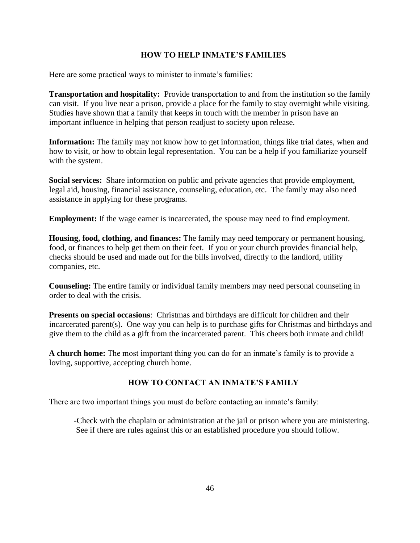# **HOW TO HELP INMATE'S FAMILIES**

Here are some practical ways to minister to inmate's families:

**Transportation and hospitality:** Provide transportation to and from the institution so the family can visit. If you live near a prison, provide a place for the family to stay overnight while visiting. Studies have shown that a family that keeps in touch with the member in prison have an important influence in helping that person readjust to society upon release.

**Information:** The family may not know how to get information, things like trial dates, when and how to visit, or how to obtain legal representation. You can be a help if you familiarize yourself with the system.

**Social services:** Share information on public and private agencies that provide employment, legal aid, housing, financial assistance, counseling, education, etc. The family may also need assistance in applying for these programs.

**Employment:** If the wage earner is incarcerated, the spouse may need to find employment.

**Housing, food, clothing, and finances:** The family may need temporary or permanent housing, food, or finances to help get them on their feet. If you or your church provides financial help, checks should be used and made out for the bills involved, directly to the landlord, utility companies, etc.

**Counseling:** The entire family or individual family members may need personal counseling in order to deal with the crisis.

**Presents on special occasions**: Christmas and birthdays are difficult for children and their incarcerated parent(s). One way you can help is to purchase gifts for Christmas and birthdays and give them to the child as a gift from the incarcerated parent. This cheers both inmate and child!

**A church home:** The most important thing you can do for an inmate's family is to provide a loving, supportive, accepting church home.

# **HOW TO CONTACT AN INMATE'S FAMILY**

There are two important things you must do before contacting an inmate's family:

-Check with the chaplain or administration at the jail or prison where you are ministering. See if there are rules against this or an established procedure you should follow.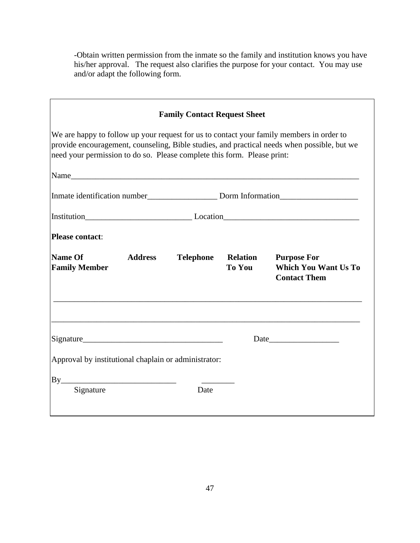-Obtain written permission from the inmate so the family and institution knows you have his/her approval. The request also clarifies the purpose for your contact. You may use and/or adapt the following form.

|                                                                                                                                                                                                                                                                    | <b>Family Contact Request Sheet</b> |                           |                                                                          |  |  |  |
|--------------------------------------------------------------------------------------------------------------------------------------------------------------------------------------------------------------------------------------------------------------------|-------------------------------------|---------------------------|--------------------------------------------------------------------------|--|--|--|
| We are happy to follow up your request for us to contact your family members in order to<br>provide encouragement, counseling, Bible studies, and practical needs when possible, but we<br>need your permission to do so. Please complete this form. Please print: |                                     |                           |                                                                          |  |  |  |
|                                                                                                                                                                                                                                                                    |                                     |                           |                                                                          |  |  |  |
|                                                                                                                                                                                                                                                                    |                                     |                           |                                                                          |  |  |  |
|                                                                                                                                                                                                                                                                    |                                     |                           |                                                                          |  |  |  |
| <b>Please contact:</b>                                                                                                                                                                                                                                             |                                     |                           |                                                                          |  |  |  |
| <b>Name Of</b><br><b>Address</b><br><b>Family Member</b>                                                                                                                                                                                                           | <b>Telephone</b>                    | <b>Relation</b><br>To You | <b>Purpose For</b><br><b>Which You Want Us To</b><br><b>Contact Them</b> |  |  |  |
| Signature Signature Signature Signature Signature Signature Signature Signature Signature Signature Signature Signature Signature Signature Signature Signature Signature Signature Signature Signature Signature Signature Si                                     |                                     |                           | Date                                                                     |  |  |  |
| Approval by institutional chaplain or administrator:                                                                                                                                                                                                               |                                     |                           |                                                                          |  |  |  |
|                                                                                                                                                                                                                                                                    |                                     |                           |                                                                          |  |  |  |
|                                                                                                                                                                                                                                                                    |                                     |                           |                                                                          |  |  |  |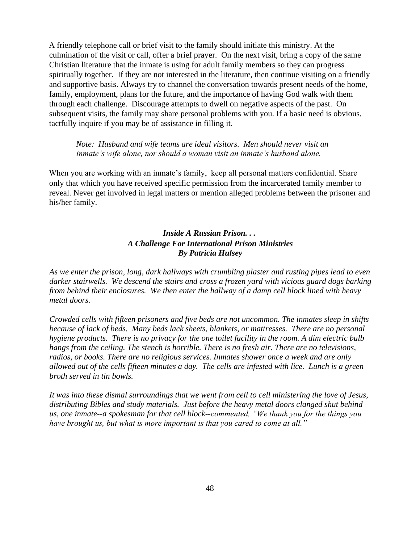A friendly telephone call or brief visit to the family should initiate this ministry. At the culmination of the visit or call, offer a brief prayer. On the next visit, bring a copy of the same Christian literature that the inmate is using for adult family members so they can progress spiritually together. If they are not interested in the literature, then continue visiting on a friendly and supportive basis. Always try to channel the conversation towards present needs of the home, family, employment, plans for the future, and the importance of having God walk with them through each challenge. Discourage attempts to dwell on negative aspects of the past. On subsequent visits, the family may share personal problems with you. If a basic need is obvious, tactfully inquire if you may be of assistance in filling it.

## *Note: Husband and wife teams are ideal visitors. Men should never visit an inmate's wife alone, nor should a woman visit an inmate's husband alone.*

When you are working with an inmate's family, keep all personal matters confidential. Share only that which you have received specific permission from the incarcerated family member to reveal. Never get involved in legal matters or mention alleged problems between the prisoner and his/her family.

# *Inside A Russian Prison. . . A Challenge For International Prison Ministries By Patricia Hulsey*

*As we enter the prison, long, dark hallways with crumbling plaster and rusting pipes lead to even darker stairwells. We descend the stairs and cross a frozen yard with vicious guard dogs barking from behind their enclosures. We then enter the hallway of a damp cell block lined with heavy metal doors.* 

*Crowded cells with fifteen prisoners and five beds are not uncommon. The inmates sleep in shifts because of lack of beds. Many beds lack sheets, blankets, or mattresses. There are no personal hygiene products. There is no privacy for the one toilet facility in the room. A dim electric bulb hangs from the ceiling. The stench is horrible. There is no fresh air. There are no televisions, radios, or books. There are no religious services. Inmates shower once a week and are only allowed out of the cells fifteen minutes a day. The cells are infested with lice. Lunch is a green broth served in tin bowls.* 

*It was into these dismal surroundings that we went from cell to cell ministering the love of Jesus, distributing Bibles and study materials. Just before the heavy metal doors clanged shut behind us, one inmate--a spokesman for that cell block--commented, "We thank you for the things you have brought us, but what is more important is that you cared to come at all."*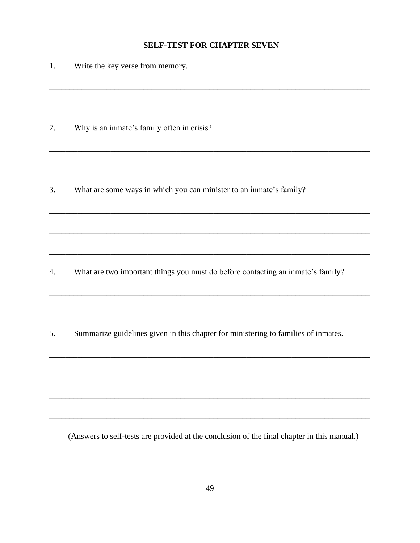# **SELF-TEST FOR CHAPTER SEVEN**

| 1. | Write the key verse from memory.                                                   |
|----|------------------------------------------------------------------------------------|
|    |                                                                                    |
| 2. | Why is an inmate's family often in crisis?                                         |
|    |                                                                                    |
| 3. | What are some ways in which you can minister to an inmate's family?                |
|    |                                                                                    |
|    |                                                                                    |
| 4. | What are two important things you must do before contacting an inmate's family?    |
|    |                                                                                    |
| 5. | Summarize guidelines given in this chapter for ministering to families of inmates. |
|    |                                                                                    |
|    |                                                                                    |
|    |                                                                                    |
|    |                                                                                    |

(Answers to self-tests are provided at the conclusion of the final chapter in this manual.)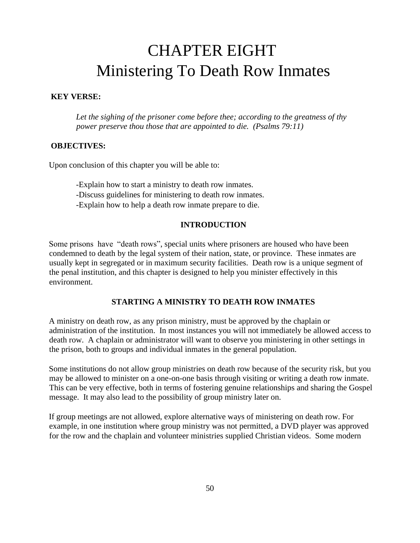# CHAPTER EIGHT Ministering To Death Row Inmates

#### **KEY VERSE:**

*Let the sighing of the prisoner come before thee; according to the greatness of thy power preserve thou those that are appointed to die. (Psalms 79:11)* 

#### **OBJECTIVES:**

Upon conclusion of this chapter you will be able to:

- -Explain how to start a ministry to death row inmates.
- -Discuss guidelines for ministering to death row inmates.
- -Explain how to help a death row inmate prepare to die.

## **INTRODUCTION**

Some prisons have "death rows", special units where prisoners are housed who have been condemned to death by the legal system of their nation, state, or province. These inmates are usually kept in segregated or in maximum security facilities. Death row is a unique segment of the penal institution, and this chapter is designed to help you minister effectively in this environment.

# **STARTING A MINISTRY TO DEATH ROW INMATES**

A ministry on death row, as any prison ministry, must be approved by the chaplain or administration of the institution. In most instances you will not immediately be allowed access to death row. A chaplain or administrator will want to observe you ministering in other settings in the prison, both to groups and individual inmates in the general population.

Some institutions do not allow group ministries on death row because of the security risk, but you may be allowed to minister on a one-on-one basis through visiting or writing a death row inmate. This can be very effective, both in terms of fostering genuine relationships and sharing the Gospel message. It may also lead to the possibility of group ministry later on.

If group meetings are not allowed, explore alternative ways of ministering on death row. For example, in one institution where group ministry was not permitted, a DVD player was approved for the row and the chaplain and volunteer ministries supplied Christian videos. Some modern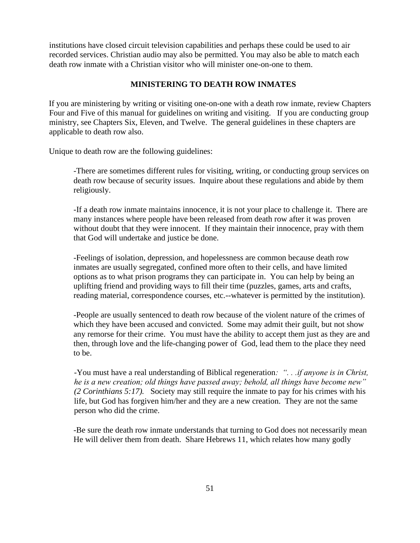institutions have closed circuit television capabilities and perhaps these could be used to air recorded services. Christian audio may also be permitted. You may also be able to match each death row inmate with a Christian visitor who will minister one-on-one to them.

## **MINISTERING TO DEATH ROW INMATES**

If you are ministering by writing or visiting one-on-one with a death row inmate, review Chapters Four and Five of this manual for guidelines on writing and visiting. If you are conducting group ministry, see Chapters Six, Eleven, and Twelve. The general guidelines in these chapters are applicable to death row also.

Unique to death row are the following guidelines:

-There are sometimes different rules for visiting, writing, or conducting group services on death row because of security issues. Inquire about these regulations and abide by them religiously.

-If a death row inmate maintains innocence, it is not your place to challenge it. There are many instances where people have been released from death row after it was proven without doubt that they were innocent. If they maintain their innocence, pray with them that God will undertake and justice be done.

-Feelings of isolation, depression, and hopelessness are common because death row inmates are usually segregated, confined more often to their cells, and have limited options as to what prison programs they can participate in. You can help by being an uplifting friend and providing ways to fill their time (puzzles, games, arts and crafts, reading material, correspondence courses, etc.--whatever is permitted by the institution).

-People are usually sentenced to death row because of the violent nature of the crimes of which they have been accused and convicted. Some may admit their guilt, but not show any remorse for their crime. You must have the ability to accept them just as they are and then, through love and the life-changing power of God, lead them to the place they need to be.

-You must have a real understanding of Biblical regeneration*: ". . .if anyone is in Christ, he is a new creation; old things have passed away; behold, all things have become new" (2 Corinthians 5:17).* Society may still require the inmate to pay for his crimes with his life, but God has forgiven him/her and they are a new creation. They are not the same person who did the crime.

-Be sure the death row inmate understands that turning to God does not necessarily mean He will deliver them from death. Share Hebrews 11, which relates how many godly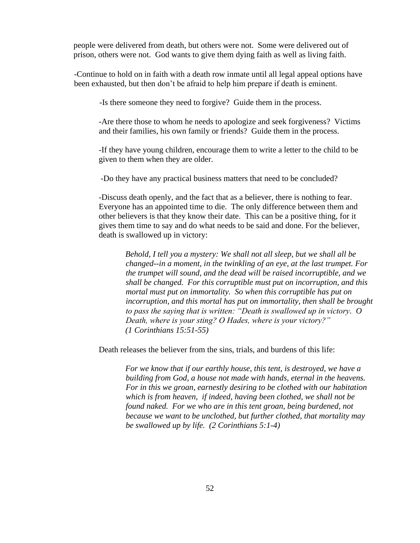people were delivered from death, but others were not. Some were delivered out of prison, others were not. God wants to give them dying faith as well as living faith.

-Continue to hold on in faith with a death row inmate until all legal appeal options have been exhausted, but then don't be afraid to help him prepare if death is eminent.

-Is there someone they need to forgive? Guide them in the process.

-Are there those to whom he needs to apologize and seek forgiveness? Victims and their families, his own family or friends? Guide them in the process.

-If they have young children, encourage them to write a letter to the child to be given to them when they are older.

-Do they have any practical business matters that need to be concluded?

-Discuss death openly, and the fact that as a believer, there is nothing to fear. Everyone has an appointed time to die. The only difference between them and other believers is that they know their date. This can be a positive thing, for it gives them time to say and do what needs to be said and done. For the believer, death is swallowed up in victory:

*Behold, I tell you a mystery: We shall not all sleep, but we shall all be changed--in a moment, in the twinkling of an eye, at the last trumpet. For the trumpet will sound, and the dead will be raised incorruptible, and we shall be changed. For this corruptible must put on incorruption, and this mortal must put on immortality. So when this corruptible has put on incorruption, and this mortal has put on immortality, then shall be brought to pass the saying that is written: "Death is swallowed up in victory. O Death, where is your sting? O Hades, where is your victory?" (1 Corinthians 15:51-55)* 

Death releases the believer from the sins, trials, and burdens of this life:

*For we know that if our earthly house, this tent, is destroyed, we have a building from God, a house not made with hands, eternal in the heavens. For in this we groan, earnestly desiring to be clothed with our habitation which is from heaven, if indeed, having been clothed, we shall not be found naked. For we who are in this tent groan, being burdened, not because we want to be unclothed, but further clothed, that mortality may be swallowed up by life. (2 Corinthians 5:1-4)*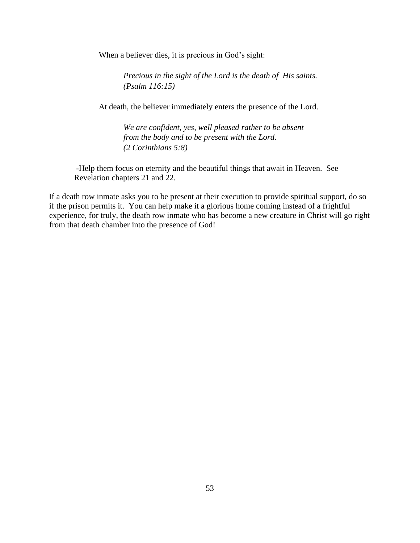When a believer dies, it is precious in God's sight:

*Precious in the sight of the Lord is the death of His saints. (Psalm 116:15)* 

At death, the believer immediately enters the presence of the Lord.

*We are confident, yes, well pleased rather to be absent from the body and to be present with the Lord. (2 Corinthians 5:8)* 

 -Help them focus on eternity and the beautiful things that await in Heaven. See Revelation chapters 21 and 22.

If a death row inmate asks you to be present at their execution to provide spiritual support, do so if the prison permits it. You can help make it a glorious home coming instead of a frightful experience, for truly, the death row inmate who has become a new creature in Christ will go right from that death chamber into the presence of God!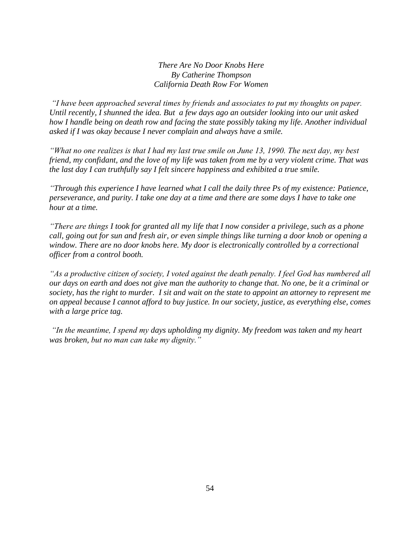*There Are No Door Knobs Here By Catherine Thompson California Death Row For Women*

*"I have been approached several times by friends and associates to put my thoughts on paper. Until recently, I shunned the idea. But a few days ago an outsider looking into our unit asked how I handle being on death row and facing the state possibly taking my life. Another individual asked if I was okay because I never complain and always have a smile.*

*"What no one realizes is that I had my last true smile on June 13, 1990. The next day, my best friend, my confidant, and the love of my life was taken from me by a very violent crime. That was the last day I can truthfully say I felt sincere happiness and exhibited a true smile.* 

*"Through this experience I have learned what I call the daily three Ps of my existence: Patience, perseverance, and purity. I take one day at a time and there are some days I have to take one hour at a time.* 

*"There are things I took for granted all my life that I now consider a privilege, such as a phone call, going out for sun and fresh air, or even simple things like turning a door knob or opening a window. There are no door knobs here. My door is electronically controlled by a correctional officer from a control booth.* 

*"As a productive citizen of society, I voted against the death penalty. I feel God has numbered all our days on earth and does not give man the authority to change that. No one, be it a criminal or society, has the right to murder. I sit and wait on the state to appoint an attorney to represent me on appeal because I cannot afford to buy justice. In our society, justice, as everything else, comes with a large price tag.* 

*"In the meantime, I spend my days upholding my dignity. My freedom was taken and my heart was broken, but no man can take my dignity."*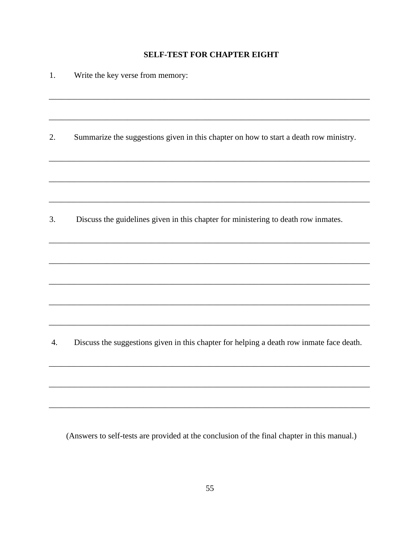# **SELF-TEST FOR CHAPTER EIGHT**

| 1.<br>Write the key verse from memory: |  |
|----------------------------------------|--|
|----------------------------------------|--|

 $\overline{2}$ . Summarize the suggestions given in this chapter on how to start a death row ministry.

 $\overline{3}$ . Discuss the guidelines given in this chapter for ministering to death row inmates.

Discuss the suggestions given in this chapter for helping a death row inmate face death. 4.

(Answers to self-tests are provided at the conclusion of the final chapter in this manual.)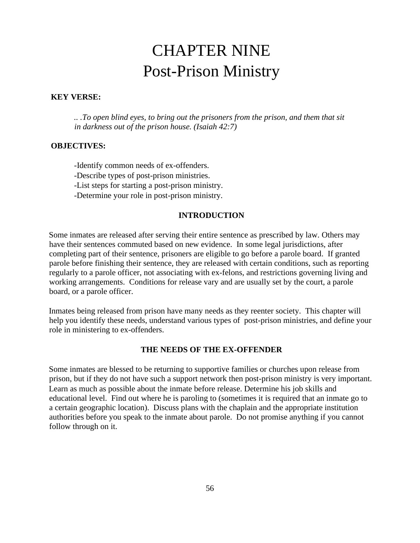# CHAPTER NINE Post-Prison Ministry

#### **KEY VERSE:**

*.. .To open blind eyes, to bring out the prisoners from the prison, and them that sit in darkness out of the prison house. (Isaiah 42:7)* 

#### **OBJECTIVES:**

-Identify common needs of ex-offenders. -Describe types of post-prison ministries. -List steps for starting a post-prison ministry. -Determine your role in post-prison ministry.

# **INTRODUCTION**

Some inmates are released after serving their entire sentence as prescribed by law. Others may have their sentences commuted based on new evidence. In some legal jurisdictions, after completing part of their sentence, prisoners are eligible to go before a parole board. If granted parole before finishing their sentence, they are released with certain conditions, such as reporting regularly to a parole officer, not associating with ex-felons, and restrictions governing living and working arrangements. Conditions for release vary and are usually set by the court, a parole board, or a parole officer.

Inmates being released from prison have many needs as they reenter society. This chapter will help you identify these needs, understand various types of post-prison ministries, and define your role in ministering to ex-offenders.

#### **THE NEEDS OF THE EX-OFFENDER**

Some inmates are blessed to be returning to supportive families or churches upon release from prison, but if they do not have such a support network then post-prison ministry is very important. Learn as much as possible about the inmate before release. Determine his job skills and educational level. Find out where he is paroling to (sometimes it is required that an inmate go to a certain geographic location). Discuss plans with the chaplain and the appropriate institution authorities before you speak to the inmate about parole. Do not promise anything if you cannot follow through on it.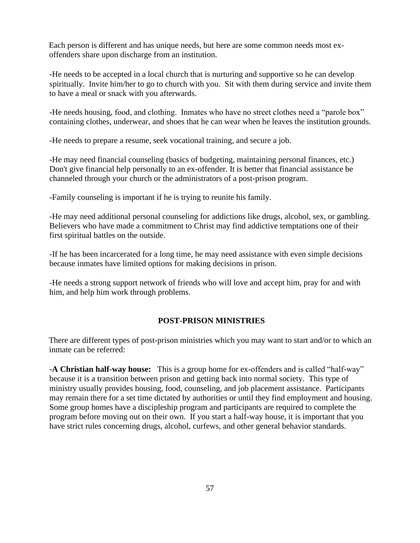Each person is different and has unique needs, but here are some common needs most exoffenders share upon discharge from an institution.

 -He needs to be accepted in a local church that is nurturing and supportive so he can develop spiritually. Invite him/her to go to church with you. Sit with them during service and invite them to have a meal or snack with you afterwards.

-He needs housing, food, and clothing. Inmates who have no street clothes need a "parole box" containing clothes, underwear, and shoes that he can wear when he leaves the institution grounds.

-He needs to prepare a resume, seek vocational training, and secure a job.

-He may need financial counseling (basics of budgeting, maintaining personal finances, etc.) Don't give financial help personally to an ex-offender. It is better that financial assistance be channeled through your church or the administrators of a post-prison program.

-Family counseling is important if he is trying to reunite his family.

 -He may need additional personal counseling for addictions like drugs, alcohol, sex, or gambling. Believers who have made a commitment to Christ may find addictive temptations one of their first spiritual battles on the outside.

 -If he has been incarcerated for a long time, he may need assistance with even simple decisions because inmates have limited options for making decisions in prison.

 -He needs a strong support network of friends who will love and accept him, pray for and with him, and help him work through problems.

#### **POST-PRISON MINISTRIES**

There are different types of post-prison ministries which you may want to start and/or to which an inmate can be referred:

 -**A Christian half-way house:** This is a group home for ex-offenders and is called "half-way" because it is a transition between prison and getting back into normal society. This type of ministry usually provides housing, food, counseling, and job placement assistance. Participants may remain there for a set time dictated by authorities or until they find employment and housing. Some group homes have a discipleship program and participants are required to complete the program before moving out on their own. If you start a half-way house, it is important that you have strict rules concerning drugs, alcohol, curfews, and other general behavior standards.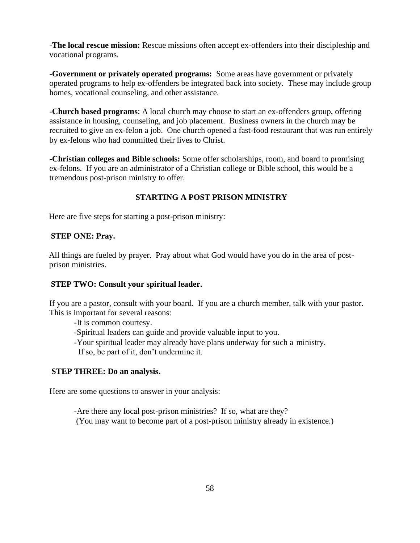-**The local rescue mission:** Rescue missions often accept ex-offenders into their discipleship and vocational programs.

 -**Government or privately operated programs:** Some areas have government or privately operated programs to help ex-offenders be integrated back into society. These may include group homes, vocational counseling, and other assistance.

 -**Church based programs**: A local church may choose to start an ex-offenders group, offering assistance in housing, counseling, and job placement. Business owners in the church may be recruited to give an ex-felon a job. One church opened a fast-food restaurant that was run entirely by ex-felons who had committed their lives to Christ.

 -**Christian colleges and Bible schools:** Some offer scholarships, room, and board to promising ex-felons. If you are an administrator of a Christian college or Bible school, this would be a tremendous post-prison ministry to offer.

# **STARTING A POST PRISON MINISTRY**

Here are five steps for starting a post-prison ministry:

# **STEP ONE: Pray.**

All things are fueled by prayer. Pray about what God would have you do in the area of postprison ministries.

# **STEP TWO: Consult your spiritual leader.**

If you are a pastor, consult with your board. If you are a church member, talk with your pastor. This is important for several reasons:

-It is common courtesy.

-Spiritual leaders can guide and provide valuable input to you.

-Your spiritual leader may already have plans underway for such a ministry.

If so, be part of it, don't undermine it.

# **STEP THREE: Do an analysis.**

Here are some questions to answer in your analysis:

-Are there any local post-prison ministries? If so, what are they? (You may want to become part of a post-prison ministry already in existence.)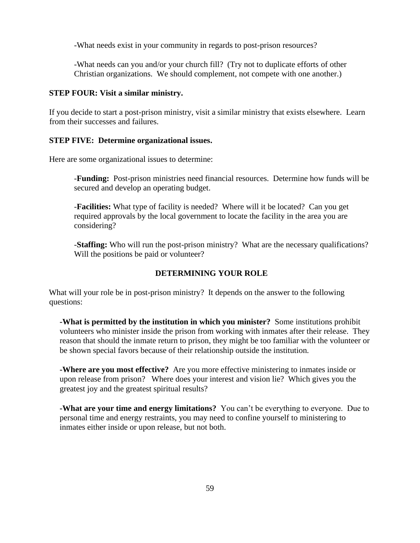-What needs exist in your community in regards to post-prison resources?

-What needs can you and/or your church fill? (Try not to duplicate efforts of other Christian organizations. We should complement, not compete with one another.)

#### **STEP FOUR: Visit a similar ministry.**

If you decide to start a post-prison ministry, visit a similar ministry that exists elsewhere. Learn from their successes and failures.

#### **STEP FIVE: Determine organizational issues.**

Here are some organizational issues to determine:

 -**Funding:** Post-prison ministries need financial resources. Determine how funds will be secured and develop an operating budget.

 -**Facilities:** What type of facility is needed? Where will it be located? Can you get required approvals by the local government to locate the facility in the area you are considering?

 -**Staffing:** Who will run the post-prison ministry? What are the necessary qualifications? Will the positions be paid or volunteer?

#### **DETERMINING YOUR ROLE**

What will your role be in post-prison ministry? It depends on the answer to the following questions:

**-What is permitted by the institution in which you minister?** Some institutions prohibit volunteers who minister inside the prison from working with inmates after their release. They reason that should the inmate return to prison, they might be too familiar with the volunteer or be shown special favors because of their relationship outside the institution.

**-Where are you most effective?** Are you more effective ministering to inmates inside or upon release from prison? Where does your interest and vision lie? Which gives you the greatest joy and the greatest spiritual results?

**-What are your time and energy limitations?** You can't be everything to everyone. Due to personal time and energy restraints, you may need to confine yourself to ministering to inmates either inside or upon release, but not both.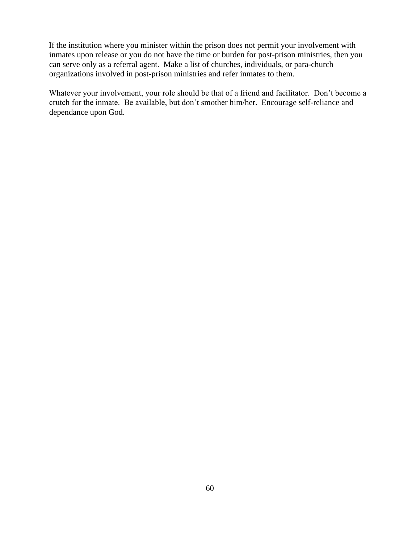If the institution where you minister within the prison does not permit your involvement with inmates upon release or you do not have the time or burden for post-prison ministries, then you can serve only as a referral agent. Make a list of churches, individuals, or para-church organizations involved in post-prison ministries and refer inmates to them.

Whatever your involvement, your role should be that of a friend and facilitator. Don't become a crutch for the inmate. Be available, but don't smother him/her. Encourage self-reliance and dependance upon God.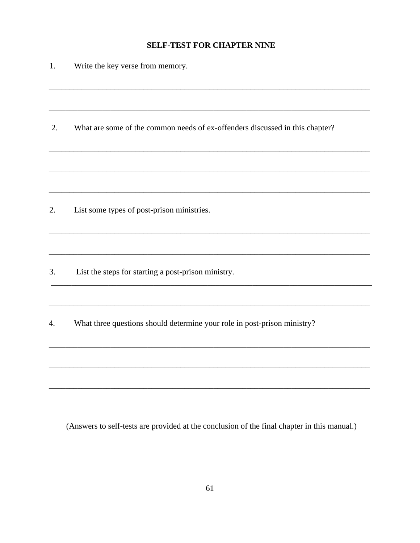# **SELF-TEST FOR CHAPTER NINE**

| 1. | Write the key verse from memory.                                             |
|----|------------------------------------------------------------------------------|
|    |                                                                              |
| 2. | What are some of the common needs of ex-offenders discussed in this chapter? |
|    |                                                                              |
| 2. | List some types of post-prison ministries.                                   |
| 3. | List the steps for starting a post-prison ministry.                          |
| 4. | What three questions should determine your role in post-prison ministry?     |
|    |                                                                              |
|    |                                                                              |

(Answers to self-tests are provided at the conclusion of the final chapter in this manual.)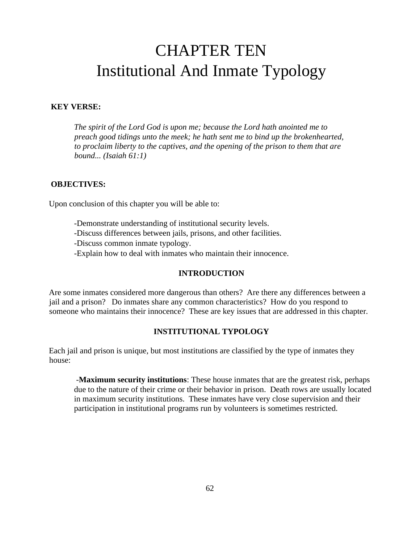# CHAPTER TEN Institutional And Inmate Typology

#### **KEY VERSE:**

*The spirit of the Lord God is upon me; because the Lord hath anointed me to preach good tidings unto the meek; he hath sent me to bind up the brokenhearted, to proclaim liberty to the captives, and the opening of the prison to them that are bound... (Isaiah 61:1)* 

#### **OBJECTIVES:**

Upon conclusion of this chapter you will be able to:

-Demonstrate understanding of institutional security levels. -Discuss differences between jails, prisons, and other facilities. -Discuss common inmate typology.

-Explain how to deal with inmates who maintain their innocence.

#### **INTRODUCTION**

Are some inmates considered more dangerous than others? Are there any differences between a jail and a prison? Do inmates share any common characteristics? How do you respond to someone who maintains their innocence? These are key issues that are addressed in this chapter.

#### **INSTITUTIONAL TYPOLOGY**

Each jail and prison is unique, but most institutions are classified by the type of inmates they house:

-**Maximum security institutions**: These house inmates that are the greatest risk, perhaps due to the nature of their crime or their behavior in prison. Death rows are usually located in maximum security institutions. These inmates have very close supervision and their participation in institutional programs run by volunteers is sometimes restricted.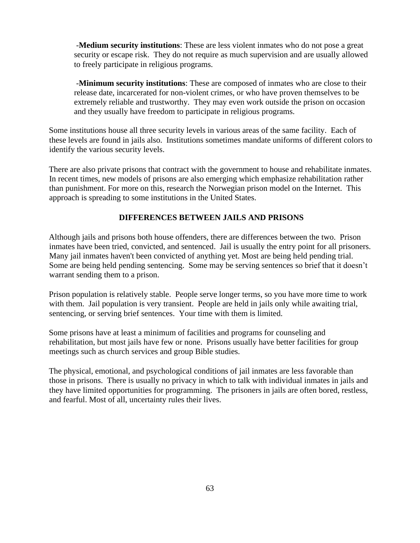-**Medium security institutions**: These are less violent inmates who do not pose a great security or escape risk. They do not require as much supervision and are usually allowed to freely participate in religious programs.

-**Minimum security institutions**: These are composed of inmates who are close to their release date, incarcerated for non-violent crimes, or who have proven themselves to be extremely reliable and trustworthy. They may even work outside the prison on occasion and they usually have freedom to participate in religious programs.

Some institutions house all three security levels in various areas of the same facility. Each of these levels are found in jails also. Institutions sometimes mandate uniforms of different colors to identify the various security levels.

There are also private prisons that contract with the government to house and rehabilitate inmates. In recent times, new models of prisons are also emerging which emphasize rehabilitation rather than punishment. For more on this, research the Norwegian prison model on the Internet. This approach is spreading to some institutions in the United States.

#### **DIFFERENCES BETWEEN JAILS AND PRISONS**

Although jails and prisons both house offenders, there are differences between the two. Prison inmates have been tried, convicted, and sentenced. Jail is usually the entry point for all prisoners. Many jail inmates haven't been convicted of anything yet. Most are being held pending trial. Some are being held pending sentencing. Some may be serving sentences so brief that it doesn't warrant sending them to a prison.

Prison population is relatively stable. People serve longer terms, so you have more time to work with them. Jail population is very transient. People are held in jails only while awaiting trial, sentencing, or serving brief sentences. Your time with them is limited.

Some prisons have at least a minimum of facilities and programs for counseling and rehabilitation, but most jails have few or none. Prisons usually have better facilities for group meetings such as church services and group Bible studies.

The physical, emotional, and psychological conditions of jail inmates are less favorable than those in prisons. There is usually no privacy in which to talk with individual inmates in jails and they have limited opportunities for programming. The prisoners in jails are often bored, restless, and fearful. Most of all, uncertainty rules their lives.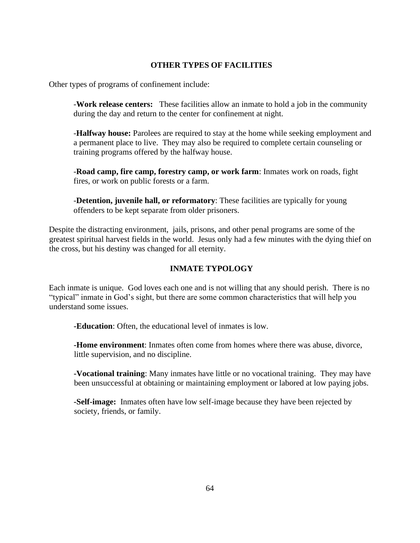## **OTHER TYPES OF FACILITIES**

Other types of programs of confinement include:

-**Work release centers:** These facilities allow an inmate to hold a job in the community during the day and return to the center for confinement at night.

-**Halfway house:** Parolees are required to stay at the home while seeking employment and a permanent place to live. They may also be required to complete certain counseling or training programs offered by the halfway house.

-**Road camp, fire camp, forestry camp, or work farm**: Inmates work on roads, fight fires, or work on public forests or a farm.

-**Detention, juvenile hall, or reformatory**: These facilities are typically for young offenders to be kept separate from older prisoners.

Despite the distracting environment, jails, prisons, and other penal programs are some of the greatest spiritual harvest fields in the world. Jesus only had a few minutes with the dying thief on the cross, but his destiny was changed for all eternity.

# **INMATE TYPOLOGY**

Each inmate is unique. God loves each one and is not willing that any should perish. There is no "typical" inmate in God's sight, but there are some common characteristics that will help you understand some issues.

**-Education**: Often, the educational level of inmates is low.

**-Home environment**: Inmates often come from homes where there was abuse, divorce, little supervision, and no discipline.

**-Vocational training**: Many inmates have little or no vocational training. They may have been unsuccessful at obtaining or maintaining employment or labored at low paying jobs.

**-Self-image:** Inmates often have low self-image because they have been rejected by society, friends, or family.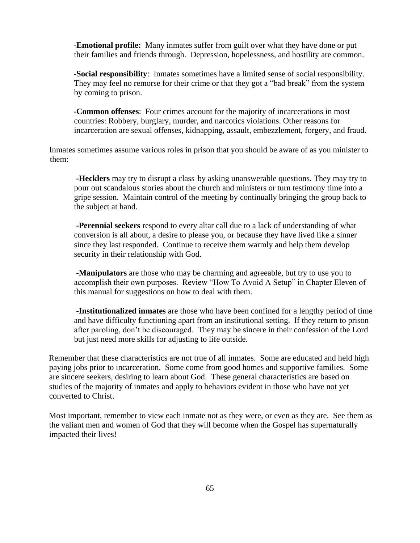**-Emotional profile:** Many inmates suffer from guilt over what they have done or put their families and friends through. Depression, hopelessness, and hostility are common.

**-Social responsibility**: Inmates sometimes have a limited sense of social responsibility. They may feel no remorse for their crime or that they got a "bad break" from the system by coming to prison.

**-Common offenses**: Four crimes account for the majority of incarcerations in most countries: Robbery, burglary, murder, and narcotics violations. Other reasons for incarceration are sexual offenses, kidnapping, assault, embezzlement, forgery, and fraud.

Inmates sometimes assume various roles in prison that you should be aware of as you minister to them:

**-Hecklers** may try to disrupt a class by asking unanswerable questions. They may try to pour out scandalous stories about the church and ministers or turn testimony time into a gripe session. Maintain control of the meeting by continually bringing the group back to the subject at hand.

**-Perennial seekers** respond to every altar call due to a lack of understanding of what conversion is all about, a desire to please you, or because they have lived like a sinner since they last responded. Continue to receive them warmly and help them develop security in their relationship with God.

**-Manipulators** are those who may be charming and agreeable, but try to use you to accomplish their own purposes. Review "How To Avoid A Setup" in Chapter Eleven of this manual for suggestions on how to deal with them.

**-Institutionalized inmates** are those who have been confined for a lengthy period of time and have difficulty functioning apart from an institutional setting. If they return to prison after paroling, don't be discouraged. They may be sincere in their confession of the Lord but just need more skills for adjusting to life outside.

Remember that these characteristics are not true of all inmates. Some are educated and held high paying jobs prior to incarceration. Some come from good homes and supportive families. Some are sincere seekers, desiring to learn about God. These general characteristics are based on studies of the majority of inmates and apply to behaviors evident in those who have not yet converted to Christ.

Most important, remember to view each inmate not as they were, or even as they are. See them as the valiant men and women of God that they will become when the Gospel has supernaturally impacted their lives!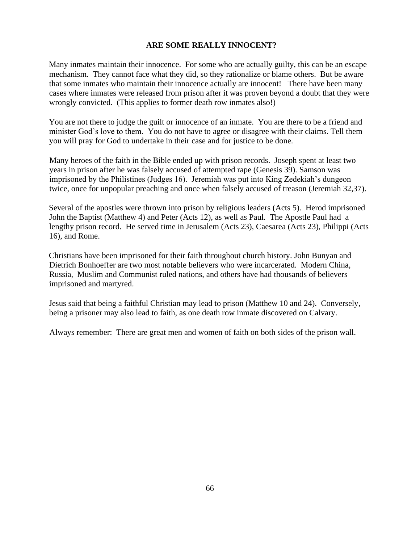#### **ARE SOME REALLY INNOCENT?**

Many inmates maintain their innocence. For some who are actually guilty, this can be an escape mechanism. They cannot face what they did, so they rationalize or blame others. But be aware that some inmates who maintain their innocence actually are innocent!There have been many cases where inmates were released from prison after it was proven beyond a doubt that they were wrongly convicted. (This applies to former death row inmates also!)

You are not there to judge the guilt or innocence of an inmate. You are there to be a friend and minister God's love to them. You do not have to agree or disagree with their claims. Tell them you will pray for God to undertake in their case and for justice to be done.

Many heroes of the faith in the Bible ended up with prison records. Joseph spent at least two years in prison after he was falsely accused of attempted rape (Genesis 39). Samson was imprisoned by the Philistines (Judges 16). Jeremiah was put into King Zedekiah's dungeon twice, once for unpopular preaching and once when falsely accused of treason (Jeremiah 32,37).

Several of the apostles were thrown into prison by religious leaders (Acts 5). Herod imprisoned John the Baptist (Matthew 4) and Peter (Acts 12), as well as Paul. The Apostle Paul had a lengthy prison record. He served time in Jerusalem (Acts 23), Caesarea (Acts 23), Philippi (Acts 16), and Rome.

Christians have been imprisoned for their faith throughout church history. John Bunyan and Dietrich Bonhoeffer are two most notable believers who were incarcerated. Modern China, Russia, Muslim and Communist ruled nations, and others have had thousands of believers imprisoned and martyred.

Jesus said that being a faithful Christian may lead to prison (Matthew 10 and 24). Conversely, being a prisoner may also lead to faith, as one death row inmate discovered on Calvary.

Always remember: There are great men and women of faith on both sides of the prison wall.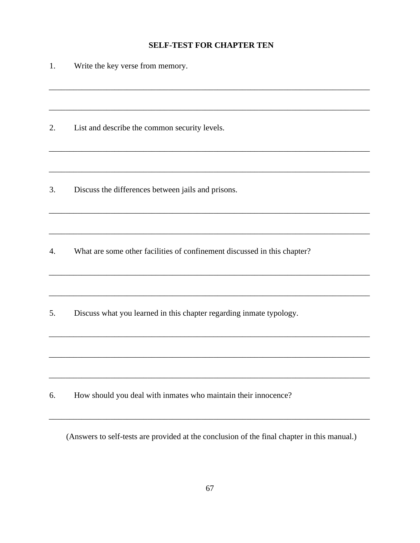# **SELF-TEST FOR CHAPTER TEN**

| 1. | Write the key verse from memory.                                         |
|----|--------------------------------------------------------------------------|
|    |                                                                          |
| 2. | List and describe the common security levels.                            |
|    |                                                                          |
| 3. | Discuss the differences between jails and prisons.                       |
|    |                                                                          |
| 4. | What are some other facilities of confinement discussed in this chapter? |
|    |                                                                          |
| 5. | Discuss what you learned in this chapter regarding inmate typology.      |
|    |                                                                          |
|    |                                                                          |
| 6. | How should you deal with inmates who maintain their innocence?           |

(Answers to self-tests are provided at the conclusion of the final chapter in this manual.)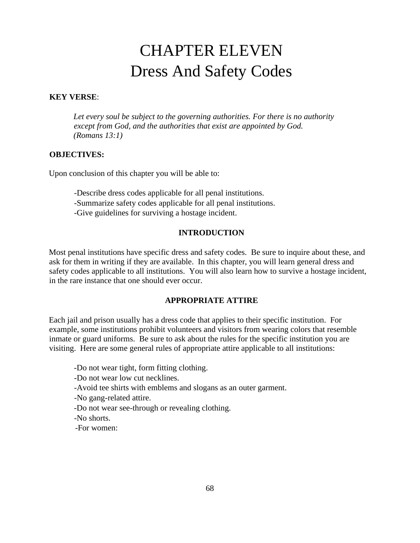# CHAPTER ELEVEN Dress And Safety Codes

#### **KEY VERSE**:

*Let every soul be subject to the governing authorities. For there is no authority except from God, and the authorities that exist are appointed by God. (Romans 13:1)* 

# **OBJECTIVES:**

Upon conclusion of this chapter you will be able to:

-Describe dress codes applicable for all penal institutions. -Summarize safety codes applicable for all penal institutions. -Give guidelines for surviving a hostage incident.

#### **INTRODUCTION**

Most penal institutions have specific dress and safety codes. Be sure to inquire about these, and ask for them in writing if they are available. In this chapter, you will learn general dress and safety codes applicable to all institutions. You will also learn how to survive a hostage incident, in the rare instance that one should ever occur.

#### **APPROPRIATE ATTIRE**

Each jail and prison usually has a dress code that applies to their specific institution. For example, some institutions prohibit volunteers and visitors from wearing colors that resemble inmate or guard uniforms. Be sure to ask about the rules for the specific institution you are visiting. Here are some general rules of appropriate attire applicable to all institutions:

-Do not wear tight, form fitting clothing.

- -Do not wear low cut necklines.
- -Avoid tee shirts with emblems and slogans as an outer garment.
- -No gang-related attire.
- -Do not wear see-through or revealing clothing.
- -No shorts.
- -For women: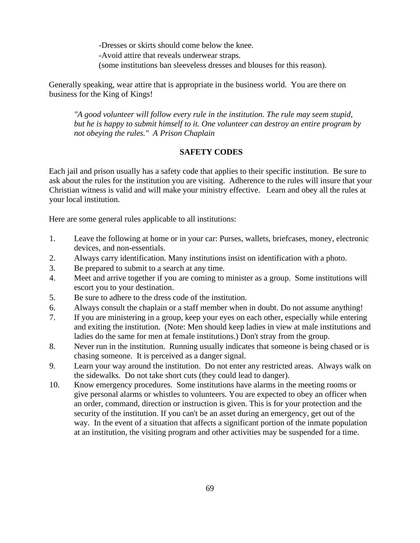-Dresses or skirts should come below the knee. -Avoid attire that reveals underwear straps. (some institutions ban sleeveless dresses and blouses for this reason).

Generally speaking, wear attire that is appropriate in the business world. You are there on business for the King of Kings!

*"A good volunteer will follow every rule in the institution. The rule may seem stupid, but he is happy to submit himself to it. One volunteer can destroy an entire program by not obeying the rules." A Prison Chaplain* 

#### **SAFETY CODES**

Each jail and prison usually has a safety code that applies to their specific institution. Be sure to ask about the rules for the institution you are visiting. Adherence to the rules will insure that your Christian witness is valid and will make your ministry effective. Learn and obey all the rules at your local institution.

Here are some general rules applicable to all institutions:

- 1. Leave the following at home or in your car: Purses, wallets, briefcases, money, electronic devices, and non-essentials.
- 2. Always carry identification. Many institutions insist on identification with a photo.
- 3. Be prepared to submit to a search at any time.
- 4. Meet and arrive together if you are coming to minister as a group. Some institutions will escort you to your destination.
- 5. Be sure to adhere to the dress code of the institution.
- 6. Always consult the chaplain or a staff member when in doubt. Do not assume anything!
- 7. If you are ministering in a group, keep your eyes on each other, especially while entering and exiting the institution. (Note: Men should keep ladies in view at male institutions and ladies do the same for men at female institutions.) Don't stray from the group.
- 8. Never run in the institution. Running usually indicates that someone is being chased or is chasing someone. It is perceived as a danger signal.
- 9. Learn your way around the institution. Do not enter any restricted areas. Always walk on the sidewalks. Do not take short cuts (they could lead to danger).
- 10. Know emergency procedures. Some institutions have alarms in the meeting rooms or give personal alarms or whistles to volunteers. You are expected to obey an officer when an order, command, direction or instruction is given. This is for your protection and the security of the institution. If you can't be an asset during an emergency, get out of the way. In the event of a situation that affects a significant portion of the inmate population at an institution, the visiting program and other activities may be suspended for a time.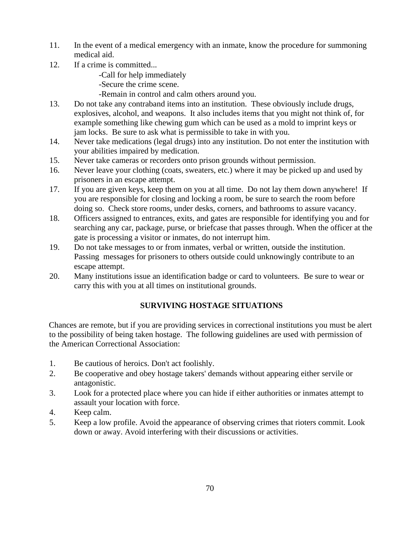- 11. In the event of a medical emergency with an inmate, know the procedure for summoning medical aid.
- 12. If a crime is committed...

-Call for help immediately

-Secure the crime scene.

-Remain in control and calm others around you.

- 13. Do not take any contraband items into an institution. These obviously include drugs, explosives, alcohol, and weapons. It also includes items that you might not think of, for example something like chewing gum which can be used as a mold to imprint keys or jam locks. Be sure to ask what is permissible to take in with you.
- 14. Never take medications (legal drugs) into any institution. Do not enter the institution with your abilities impaired by medication.
- 15. Never take cameras or recorders onto prison grounds without permission.
- 16. Never leave your clothing (coats, sweaters, etc.) where it may be picked up and used by prisoners in an escape attempt.
- 17. If you are given keys, keep them on you at all time. Do not lay them down anywhere! If you are responsible for closing and locking a room, be sure to search the room before doing so. Check store rooms, under desks, corners, and bathrooms to assure vacancy.
- 18. Officers assigned to entrances, exits, and gates are responsible for identifying you and for searching any car, package, purse, or briefcase that passes through. When the officer at the gate is processing a visitor or inmates, do not interrupt him.
- 19. Do not take messages to or from inmates, verbal or written, outside the institution. Passing messages for prisoners to others outside could unknowingly contribute to an escape attempt.
- 20. Many institutions issue an identification badge or card to volunteers. Be sure to wear or carry this with you at all times on institutional grounds.

# **SURVIVING HOSTAGE SITUATIONS**

Chances are remote, but if you are providing services in correctional institutions you must be alert to the possibility of being taken hostage. The following guidelines are used with permission of the American Correctional Association:

- 1. Be cautious of heroics. Don't act foolishly.
- 2. Be cooperative and obey hostage takers' demands without appearing either servile or antagonistic.
- 3. Look for a protected place where you can hide if either authorities or inmates attempt to assault your location with force.
- 4. Keep calm.
- 5. Keep a low profile. Avoid the appearance of observing crimes that rioters commit. Look down or away. Avoid interfering with their discussions or activities.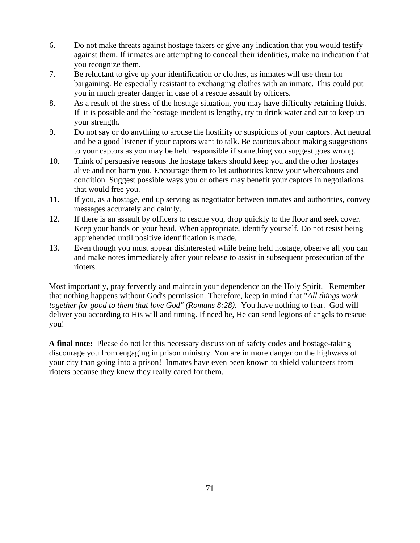- 6. Do not make threats against hostage takers or give any indication that you would testify against them. If inmates are attempting to conceal their identities, make no indication that you recognize them.
- 7. Be reluctant to give up your identification or clothes, as inmates will use them for bargaining. Be especially resistant to exchanging clothes with an inmate. This could put you in much greater danger in case of a rescue assault by officers.
- 8. As a result of the stress of the hostage situation, you may have difficulty retaining fluids. If it is possible and the hostage incident is lengthy, try to drink water and eat to keep up your strength.
- 9. Do not say or do anything to arouse the hostility or suspicions of your captors. Act neutral and be a good listener if your captors want to talk. Be cautious about making suggestions to your captors as you may be held responsible if something you suggest goes wrong.
- 10. Think of persuasive reasons the hostage takers should keep you and the other hostages alive and not harm you. Encourage them to let authorities know your whereabouts and condition. Suggest possible ways you or others may benefit your captors in negotiations that would free you.
- 11. If you, as a hostage, end up serving as negotiator between inmates and authorities, convey messages accurately and calmly.
- 12. If there is an assault by officers to rescue you, drop quickly to the floor and seek cover. Keep your hands on your head. When appropriate, identify yourself. Do not resist being apprehended until positive identification is made.
- 13. Even though you must appear disinterested while being held hostage, observe all you can and make notes immediately after your release to assist in subsequent prosecution of the rioters.

Most importantly, pray fervently and maintain your dependence on the Holy Spirit. Remember that nothing happens without God's permission. Therefore, keep in mind that "*All things work together for good to them that love God" (Romans 8:28).* You have nothing to fear. God will deliver you according to His will and timing. If need be, He can send legions of angels to rescue you!

**A final note:** Please do not let this necessary discussion of safety codes and hostage-taking discourage you from engaging in prison ministry. You are in more danger on the highways of your city than going into a prison! Inmates have even been known to shield volunteers from rioters because they knew they really cared for them.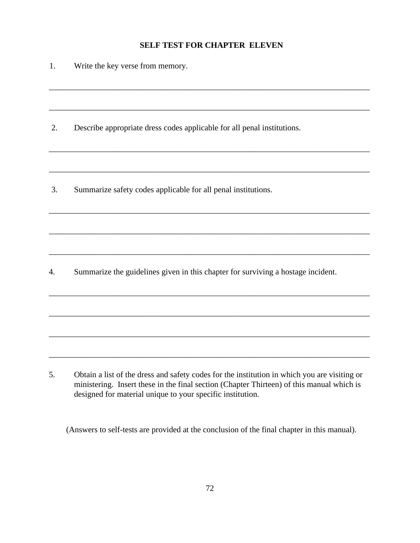# **SELF TEST FOR CHAPTER ELEVEN**

| 1. | Write the key verse from memory.                                                 |
|----|----------------------------------------------------------------------------------|
|    |                                                                                  |
| 2. | Describe appropriate dress codes applicable for all penal institutions.          |
|    |                                                                                  |
| 3. | Summarize safety codes applicable for all penal institutions.                    |
|    |                                                                                  |
|    |                                                                                  |
| 4. | Summarize the guidelines given in this chapter for surviving a hostage incident. |
|    |                                                                                  |
|    |                                                                                  |
|    |                                                                                  |

5. Obtain a list of the dress and safety codes for the institution in which you are visiting or ministering. Insert these in the final section (Chapter Thirteen) of this manual which is designed for material unique to your specific institution.

(Answers to self-tests are provided at the conclusion of the final chapter in this manual).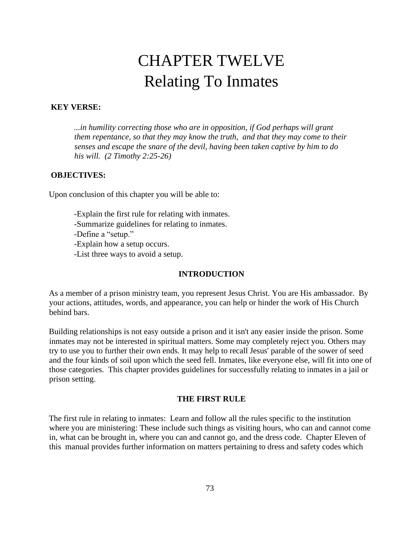# CHAPTER TWELVE Relating To Inmates

### **KEY VERSE:**

...*in humility correcting those who are in opposition, if God perhaps will grant them repentance, so that they may know the truth, and that they may come to their senses and escape the snare of the devil, having been taken captive by him to do his will. (2 Timothy 2:25-26)* 

### **OBJECTIVES:**

Upon conclusion of this chapter you will be able to:

-Explain the first rule for relating with inmates. -Summarize guidelines for relating to inmates. -Define a "setup." -Explain how a setup occurs. -List three ways to avoid a setup.

### **INTRODUCTION**

As a member of a prison ministry team, you represent Jesus Christ. You are His ambassador. By your actions, attitudes, words, and appearance, you can help or hinder the work of His Church behind bars.

Building relationships is not easy outside a prison and it isn't any easier inside the prison. Some inmates may not be interested in spiritual matters. Some may completely reject you. Others may try to use you to further their own ends. It may help to recall Jesus' parable of the sower of seed and the four kinds of soil upon which the seed fell. Inmates, like everyone else, will fit into one of those categories. This chapter provides guidelines for successfully relating to inmates in a jail or prison setting.

#### **THE FIRST RULE**

The first rule in relating to inmates: Learn and follow all the rules specific to the institution where you are ministering: These include such things as visiting hours, who can and cannot come in, what can be brought in, where you can and cannot go, and the dress code. Chapter Eleven of this manual provides further information on matters pertaining to dress and safety codes which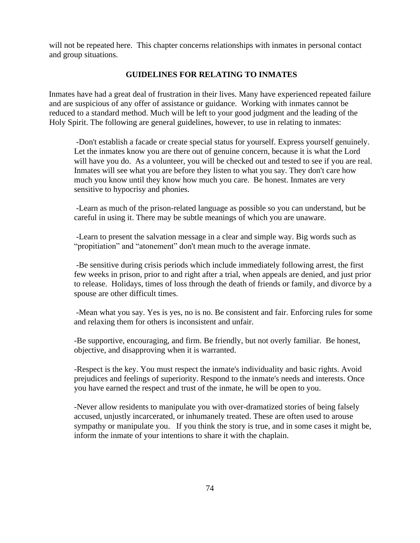will not be repeated here. This chapter concerns relationships with inmates in personal contact and group situations.

#### **GUIDELINES FOR RELATING TO INMATES**

Inmates have had a great deal of frustration in their lives. Many have experienced repeated failure and are suspicious of any offer of assistance or guidance. Working with inmates cannot be reduced to a standard method. Much will be left to your good judgment and the leading of the Holy Spirit. The following are general guidelines, however, to use in relating to inmates:

-Don't establish a facade or create special status for yourself. Express yourself genuinely. Let the inmates know you are there out of genuine concern, because it is what the Lord will have you do. As a volunteer, you will be checked out and tested to see if you are real. Inmates will see what you are before they listen to what you say. They don't care how much you know until they know how much you care. Be honest. Inmates are very sensitive to hypocrisy and phonies.

-Learn as much of the prison-related language as possible so you can understand, but be careful in using it. There may be subtle meanings of which you are unaware.

-Learn to present the salvation message in a clear and simple way. Big words such as "propitiation" and "atonement" don't mean much to the average inmate.

-Be sensitive during crisis periods which include immediately following arrest, the first few weeks in prison, prior to and right after a trial, when appeals are denied, and just prior to release. Holidays, times of loss through the death of friends or family, and divorce by a spouse are other difficult times.

-Mean what you say. Yes is yes, no is no. Be consistent and fair. Enforcing rules for some and relaxing them for others is inconsistent and unfair.

-Be supportive, encouraging, and firm. Be friendly, but not overly familiar. Be honest, objective, and disapproving when it is warranted.

-Respect is the key. You must respect the inmate's individuality and basic rights. Avoid prejudices and feelings of superiority. Respond to the inmate's needs and interests. Once you have earned the respect and trust of the inmate, he will be open to you.

-Never allow residents to manipulate you with over-dramatized stories of being falsely accused, unjustly incarcerated, or inhumanely treated. These are often used to arouse sympathy or manipulate you. If you think the story is true, and in some cases it might be, inform the inmate of your intentions to share it with the chaplain.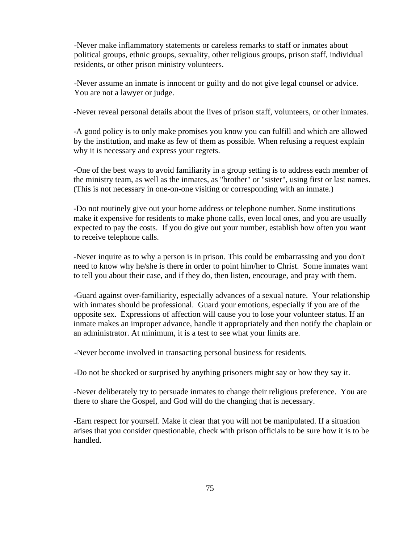-Never make inflammatory statements or careless remarks to staff or inmates about political groups, ethnic groups, sexuality, other religious groups, prison staff, individual residents, or other prison ministry volunteers.

-Never assume an inmate is innocent or guilty and do not give legal counsel or advice. You are not a lawyer or judge.

-Never reveal personal details about the lives of prison staff, volunteers, or other inmates.

-A good policy is to only make promises you know you can fulfill and which are allowed by the institution, and make as few of them as possible. When refusing a request explain why it is necessary and express your regrets.

-One of the best ways to avoid familiarity in a group setting is to address each member of the ministry team, as well as the inmates, as "brother" or "sister", using first or last names. (This is not necessary in one-on-one visiting or corresponding with an inmate.)

-Do not routinely give out your home address or telephone number. Some institutions make it expensive for residents to make phone calls, even local ones, and you are usually expected to pay the costs. If you do give out your number, establish how often you want to receive telephone calls.

-Never inquire as to why a person is in prison. This could be embarrassing and you don't need to know why he/she is there in order to point him/her to Christ. Some inmates want to tell you about their case, and if they do, then listen, encourage, and pray with them.

-Guard against over-familiarity, especially advances of a sexual nature. Your relationship with inmates should be professional. Guard your emotions, especially if you are of the opposite sex. Expressions of affection will cause you to lose your volunteer status. If an inmate makes an improper advance, handle it appropriately and then notify the chaplain or an administrator. At minimum, it is a test to see what your limits are.

-Never become involved in transacting personal business for residents.

-Do not be shocked or surprised by anything prisoners might say or how they say it.

-Never deliberately try to persuade inmates to change their religious preference. You are there to share the Gospel, and God will do the changing that is necessary.

-Earn respect for yourself. Make it clear that you will not be manipulated. If a situation arises that you consider questionable, check with prison officials to be sure how it is to be handled.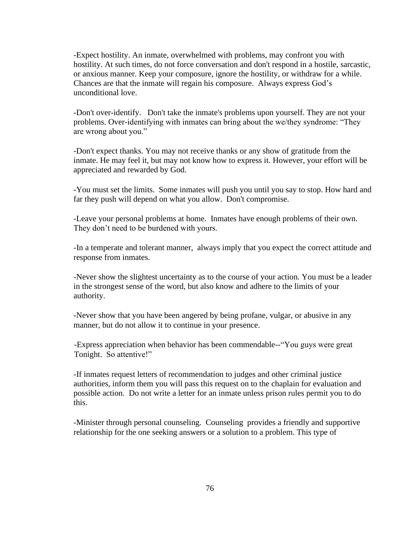-Expect hostility. An inmate, overwhelmed with problems, may confront you with hostility. At such times, do not force conversation and don't respond in a hostile, sarcastic, or anxious manner. Keep your composure, ignore the hostility, or withdraw for a while. Chances are that the inmate will regain his composure. Always express God's unconditional love.

-Don't over-identify. Don't take the inmate's problems upon yourself. They are not your problems. Over-identifying with inmates can bring about the we/they syndrome: "They are wrong about you."

-Don't expect thanks. You may not receive thanks or any show of gratitude from the inmate. He may feel it, but may not know how to express it. However, your effort will be appreciated and rewarded by God.

-You must set the limits. Some inmates will push you until you say to stop. How hard and far they push will depend on what you allow. Don't compromise.

-Leave your personal problems at home. Inmates have enough problems of their own. They don't need to be burdened with yours.

-In a temperate and tolerant manner, always imply that you expect the correct attitude and response from inmates.

-Never show the slightest uncertainty as to the course of your action. You must be a leader in the strongest sense of the word, but also know and adhere to the limits of your authority.

-Never show that you have been angered by being profane, vulgar, or abusive in any manner, but do not allow it to continue in your presence.

-Express appreciation when behavior has been commendable--"You guys were great Tonight. So attentive!"

-If inmates request letters of recommendation to judges and other criminal justice authorities, inform them you will pass this request on to the chaplain for evaluation and possible action. Do not write a letter for an inmate unless prison rules permit you to do this.

-Minister through personal counseling. Counseling provides a friendly and supportive relationship for the one seeking answers or a solution to a problem. This type of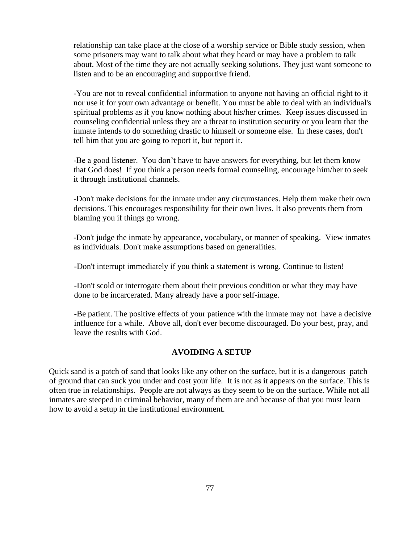relationship can take place at the close of a worship service or Bible study session, when some prisoners may want to talk about what they heard or may have a problem to talk about. Most of the time they are not actually seeking solutions. They just want someone to listen and to be an encouraging and supportive friend.

-You are not to reveal confidential information to anyone not having an official right to it nor use it for your own advantage or benefit. You must be able to deal with an individual's spiritual problems as if you know nothing about his/her crimes. Keep issues discussed in counseling confidential unless they are a threat to institution security or you learn that the inmate intends to do something drastic to himself or someone else. In these cases, don't tell him that you are going to report it, but report it.

-Be a good listener. You don't have to have answers for everything, but let them know that God does! If you think a person needs formal counseling, encourage him/her to seek it through institutional channels.

-Don't make decisions for the inmate under any circumstances. Help them make their own decisions. This encourages responsibility for their own lives. It also prevents them from blaming you if things go wrong.

-Don't judge the inmate by appearance, vocabulary, or manner of speaking. View inmates as individuals. Don't make assumptions based on generalities.

-Don't interrupt immediately if you think a statement is wrong. Continue to listen!

-Don't scold or interrogate them about their previous condition or what they may have done to be incarcerated. Many already have a poor self-image.

-Be patient. The positive effects of your patience with the inmate may not have a decisive influence for a while. Above all, don't ever become discouraged. Do your best, pray, and leave the results with God.

### **AVOIDING A SETUP**

Quick sand is a patch of sand that looks like any other on the surface, but it is a dangerous patch of ground that can suck you under and cost your life. It is not as it appears on the surface. This is often true in relationships. People are not always as they seem to be on the surface. While not all inmates are steeped in criminal behavior, many of them are and because of that you must learn how to avoid a setup in the institutional environment.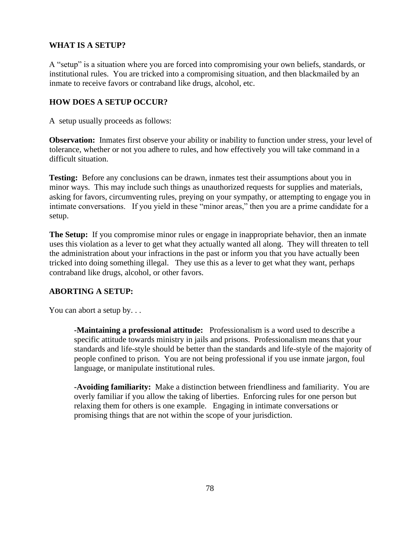### **WHAT IS A SETUP?**

A "setup" is a situation where you are forced into compromising your own beliefs, standards, or institutional rules. You are tricked into a compromising situation, and then blackmailed by an inmate to receive favors or contraband like drugs, alcohol, etc.

### **HOW DOES A SETUP OCCUR?**

A setup usually proceeds as follows:

**Observation:** Inmates first observe your ability or inability to function under stress, your level of tolerance, whether or not you adhere to rules, and how effectively you will take command in a difficult situation.

**Testing:** Before any conclusions can be drawn, inmates test their assumptions about you in minor ways. This may include such things as unauthorized requests for supplies and materials, asking for favors, circumventing rules, preying on your sympathy, or attempting to engage you in intimate conversations. If you yield in these "minor areas," then you are a prime candidate for a setup.

**The Setup:** If you compromise minor rules or engage in inappropriate behavior, then an inmate uses this violation as a lever to get what they actually wanted all along. They will threaten to tell the administration about your infractions in the past or inform you that you have actually been tricked into doing something illegal. They use this as a lever to get what they want, perhaps contraband like drugs, alcohol, or other favors.

### **ABORTING A SETUP:**

You can abort a setup by...

**-Maintaining a professional attitude:** Professionalism is a word used to describe a specific attitude towards ministry in jails and prisons. Professionalism means that your standards and life-style should be better than the standards and life-style of the majority of people confined to prison. You are not being professional if you use inmate jargon, foul language, or manipulate institutional rules.

**-Avoiding familiarity:** Make a distinction between friendliness and familiarity. You are overly familiar if you allow the taking of liberties. Enforcing rules for one person but relaxing them for others is one example. Engaging in intimate conversations or promising things that are not within the scope of your jurisdiction.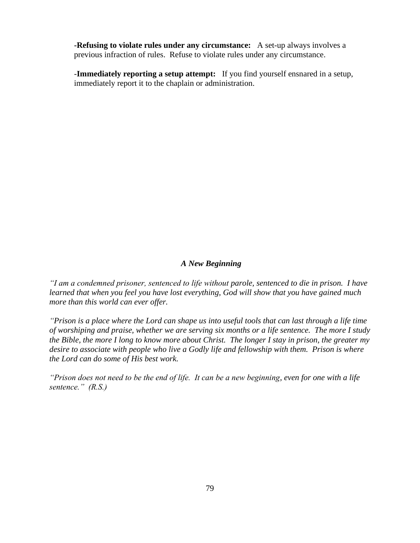**-Refusing to violate rules under any circumstance:** A set-up always involves a previous infraction of rules. Refuse to violate rules under any circumstance.

-**Immediately reporting a setup attempt:** If you find yourself ensnared in a setup, immediately report it to the chaplain or administration.

### *A New Beginning*

*"I am a condemned prisoner, sentenced to life without parole, sentenced to die in prison. I have learned that when you feel you have lost everything, God will show that you have gained much more than this world can ever offer.* 

*"Prison is a place where the Lord can shape us into useful tools that can last through a life time of worshiping and praise, whether we are serving six months or a life sentence. The more I study the Bible, the more I long to know more about Christ. The longer I stay in prison, the greater my desire to associate with people who live a Godly life and fellowship with them. Prison is where the Lord can do some of His best work.*

*"Prison does not need to be the end of life. It can be a new beginning, even for one with a life sentence." (R.S.)*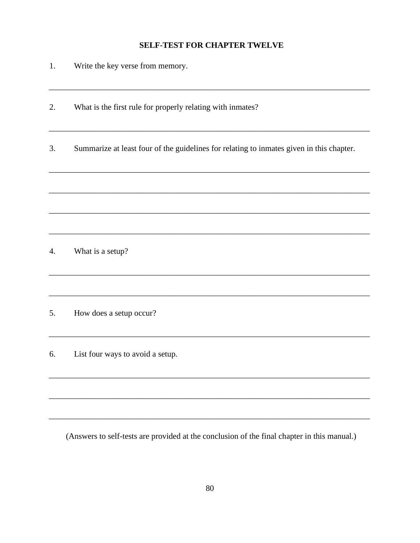### **SELF-TEST FOR CHAPTER TWELVE**

- $\overline{1}$ . Write the key verse from memory.
- 2. What is the first rule for properly relating with inmates?
- Summarize at least four of the guidelines for relating to inmates given in this chapter.  $\overline{3}$ .

 $4.$ What is a setup?

5. How does a setup occur?

6. List four ways to avoid a setup.

(Answers to self-tests are provided at the conclusion of the final chapter in this manual.)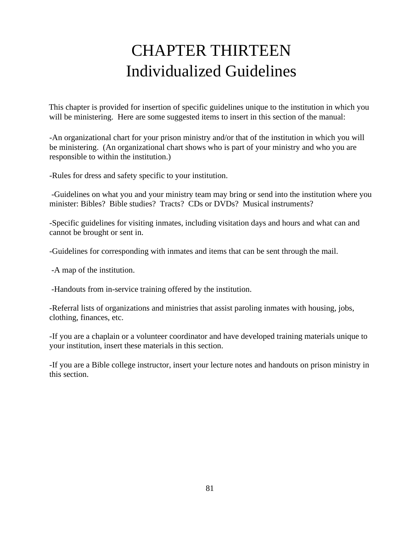# CHAPTER THIRTEEN Individualized Guidelines

This chapter is provided for insertion of specific guidelines unique to the institution in which you will be ministering. Here are some suggested items to insert in this section of the manual:

 -An organizational chart for your prison ministry and/or that of the institution in which you will be ministering. (An organizational chart shows who is part of your ministry and who you are responsible to within the institution.)

-Rules for dress and safety specific to your institution.

-Guidelines on what you and your ministry team may bring or send into the institution where you minister: Bibles? Bible studies? Tracts? CDs or DVDs? Musical instruments?

-Specific guidelines for visiting inmates, including visitation days and hours and what can and cannot be brought or sent in.

-Guidelines for corresponding with inmates and items that can be sent through the mail.

-A map of the institution.

-Handouts from in-service training offered by the institution.

-Referral lists of organizations and ministries that assist paroling inmates with housing, jobs, clothing, finances, etc.

-If you are a chaplain or a volunteer coordinator and have developed training materials unique to your institution, insert these materials in this section.

-If you are a Bible college instructor, insert your lecture notes and handouts on prison ministry in this section.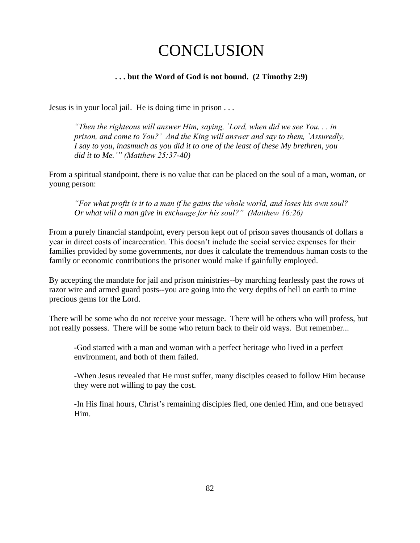# **CONCLUSION**

### **. . . but the Word of God is not bound. (2 Timothy 2:9)**

Jesus is in your local jail. He is doing time in prison . . .

*"Then the righteous will answer Him, saying, `Lord, when did we see You. . . in prison, and come to You?' And the King will answer and say to them, `Assuredly, I say to you, inasmuch as you did it to one of the least of these My brethren, you did it to Me.'" (Matthew 25:37-40)* 

From a spiritual standpoint, there is no value that can be placed on the soul of a man, woman, or young person:

*"For what profit is it to a man if he gains the whole world, and loses his own soul? Or what will a man give in exchange for his soul?" (Matthew 16:26)* 

From a purely financial standpoint, every person kept out of prison saves thousands of dollars a year in direct costs of incarceration. This doesn't include the social service expenses for their families provided by some governments, nor does it calculate the tremendous human costs to the family or economic contributions the prisoner would make if gainfully employed.

By accepting the mandate for jail and prison ministries--by marching fearlessly past the rows of razor wire and armed guard posts--you are going into the very depths of hell on earth to mine precious gems for the Lord.

There will be some who do not receive your message. There will be others who will profess, but not really possess. There will be some who return back to their old ways. But remember...

-God started with a man and woman with a perfect heritage who lived in a perfect environment, and both of them failed.

-When Jesus revealed that He must suffer, many disciples ceased to follow Him because they were not willing to pay the cost.

-In His final hours, Christ's remaining disciples fled, one denied Him, and one betrayed Him.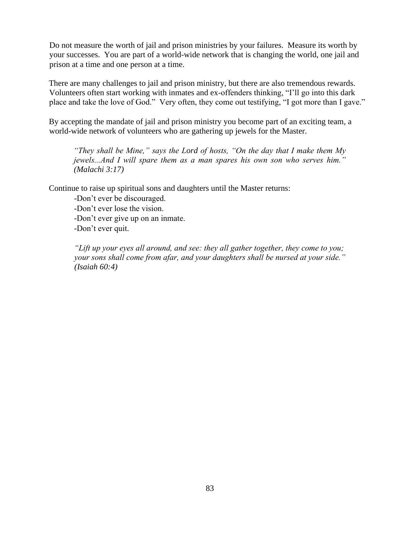Do not measure the worth of jail and prison ministries by your failures. Measure its worth by your successes. You are part of a world-wide network that is changing the world, one jail and prison at a time and one person at a time.

There are many challenges to jail and prison ministry, but there are also tremendous rewards. Volunteers often start working with inmates and ex-offenders thinking, "I'll go into this dark place and take the love of God." Very often, they come out testifying, "I got more than I gave."

By accepting the mandate of jail and prison ministry you become part of an exciting team, a world-wide network of volunteers who are gathering up jewels for the Master.

*"They shall be Mine," says the Lord of hosts, "On the day that I make them My jewels...And I will spare them as a man spares his own son who serves him." (Malachi 3:17)* 

Continue to raise up spiritual sons and daughters until the Master returns:

-Don't ever be discouraged.

-Don't ever lose the vision.

-Don't ever give up on an inmate.

-Don't ever quit.

*"Lift up your eyes all around, and see: they all gather together, they come to you; your sons shall come from afar, and your daughters shall be nursed at your side." (Isaiah 60:4)*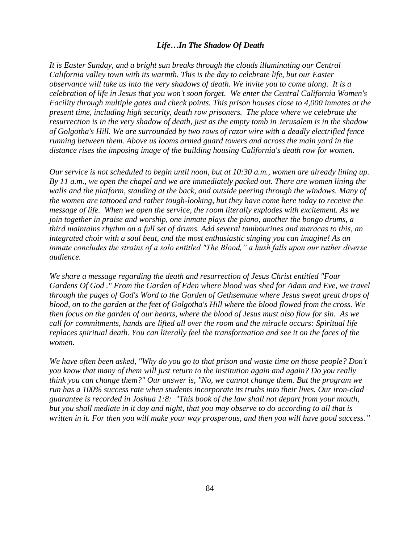#### *Life…In The Shadow Of Death*

*It is Easter Sunday, and a bright sun breaks through the clouds illuminating our Central California valley town with its warmth. This is the day to celebrate life, but our Easter observance will take us into the very shadows of death. We invite you to come along. It is a celebration of life in Jesus that you won't soon forget. We enter the Central California Women's Facility through multiple gates and check points. This prison houses close to 4,000 inmates at the present time, including high security, death row prisoners. The place where we celebrate the resurrection is in the very shadow of death, just as the empty tomb in Jerusalem is in the shadow of Golgotha's Hill. We are surrounded by two rows of razor wire with a deadly electrified fence running between them. Above us looms armed guard towers and across the main yard in the distance rises the imposing image of the building housing California's death row for women.* 

*Our service is not scheduled to begin until noon, but at 10:30 a.m., women are already lining up. By 11 a.m., we open the chapel and we are immediately packed out. There are women lining the walls and the platform, standing at the back, and outside peering through the windows. Many of the women are tattooed and rather tough-looking, but they have come here today to receive the message of life. When we open the service, the room literally explodes with excitement. As we join together in praise and worship, one inmate plays the piano, another the bongo drums, a third maintains rhythm on a full set of drums. Add several tambourines and maracas to this, an integrated choir with a soul beat, and the most enthusiastic singing you can imagine! As an inmate concludes the strains of a solo entitled "The Blood," a hush falls upon our rather diverse audience.* 

*We share a message regarding the death and resurrection of Jesus Christ entitled "Four Gardens Of God ." From the Garden of Eden where blood was shed for Adam and Eve, we travel through the pages of God's Word to the Garden of Gethsemane where Jesus sweat great drops of blood, on to the garden at the feet of Golgotha's Hill where the blood flowed from the cross. We then focus on the garden of our hearts, where the blood of Jesus must also flow for sin. As we call for commitments, hands are lifted all over the room and the miracle occurs: Spiritual life replaces spiritual death. You can literally feel the transformation and see it on the faces of the women.*

*We have often been asked, "Why do you go to that prison and waste time on those people? Don't you know that many of them will just return to the institution again and again? Do you really think you can change them?" Our answer is, "No, we cannot change them. But the program we run has a 100% success rate when students incorporate its truths into their lives. Our iron-clad guarantee is recorded in Joshua 1:8: "This book of the law shall not depart from your mouth, but you shall mediate in it day and night, that you may observe to do according to all that is written in it. For then you will make your way prosperous, and then you will have good success."*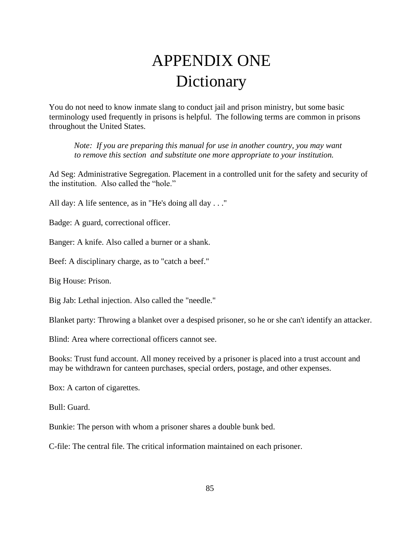# APPENDIX ONE Dictionary

You do not need to know inmate slang to conduct jail and prison ministry, but some basic terminology used frequently in prisons is helpful. The following terms are common in prisons throughout the United States.

*Note: If you are preparing this manual for use in another country, you may want to remove this section and substitute one more appropriate to your institution.* 

Ad Seg: Administrative Segregation. Placement in a controlled unit for the safety and security of the institution. Also called the "hole."

All day: A life sentence, as in "He's doing all day . . ."

Badge: A guard, correctional officer.

Banger: A knife. Also called a burner or a shank.

Beef: A disciplinary charge, as to "catch a beef."

Big House: Prison.

Big Jab: Lethal injection. Also called the "needle."

Blanket party: Throwing a blanket over a despised prisoner, so he or she can't identify an attacker.

Blind: Area where correctional officers cannot see.

Books: Trust fund account. All money received by a prisoner is placed into a trust account and may be withdrawn for canteen purchases, special orders, postage, and other expenses.

Box: A carton of cigarettes.

Bull: Guard.

Bunkie: The person with whom a prisoner shares a double bunk bed.

C-file: The central file. The critical information maintained on each prisoner.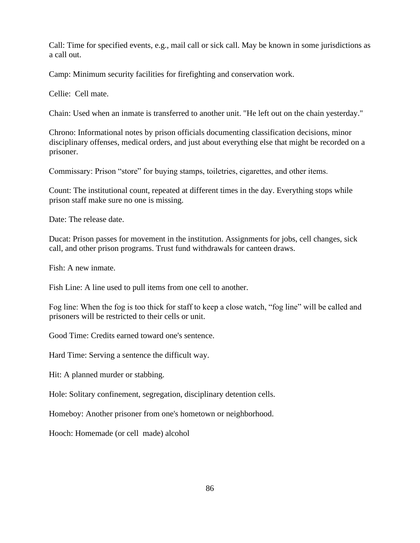Call: Time for specified events, e.g., mail call or sick call. May be known in some jurisdictions as a call out.

Camp: Minimum security facilities for firefighting and conservation work.

Cellie: Cell mate.

Chain: Used when an inmate is transferred to another unit. "He left out on the chain yesterday."

Chrono: Informational notes by prison officials documenting classification decisions, minor disciplinary offenses, medical orders, and just about everything else that might be recorded on a prisoner.

Commissary: Prison "store" for buying stamps, toiletries, cigarettes, and other items.

Count: The institutional count, repeated at different times in the day. Everything stops while prison staff make sure no one is missing.

Date: The release date.

Ducat: Prison passes for movement in the institution. Assignments for jobs, cell changes, sick call, and other prison programs. Trust fund withdrawals for canteen draws.

Fish: A new inmate.

Fish Line: A line used to pull items from one cell to another.

Fog line: When the fog is too thick for staff to keep a close watch, "fog line" will be called and prisoners will be restricted to their cells or unit.

Good Time: Credits earned toward one's sentence.

Hard Time: Serving a sentence the difficult way.

Hit: A planned murder or stabbing.

Hole: Solitary confinement, segregation, disciplinary detention cells.

Homeboy: Another prisoner from one's hometown or neighborhood.

Hooch: Homemade (or cell made) alcohol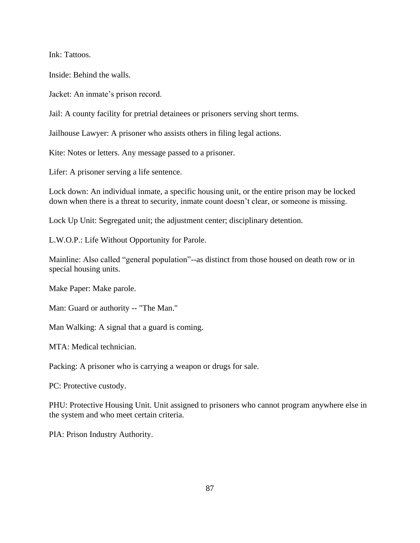Ink: Tattoos.

Inside: Behind the walls.

Jacket: An inmate's prison record.

Jail: A county facility for pretrial detainees or prisoners serving short terms.

Jailhouse Lawyer: A prisoner who assists others in filing legal actions.

Kite: Notes or letters. Any message passed to a prisoner.

Lifer: A prisoner serving a life sentence.

Lock down: An individual inmate, a specific housing unit, or the entire prison may be locked down when there is a threat to security, inmate count doesn't clear, or someone is missing.

Lock Up Unit: Segregated unit; the adjustment center; disciplinary detention.

L.W.O.P.: Life Without Opportunity for Parole.

Mainline: Also called "general population"--as distinct from those housed on death row or in special housing units.

Make Paper: Make parole.

Man: Guard or authority -- "The Man."

Man Walking: A signal that a guard is coming.

MTA: Medical technician.

Packing: A prisoner who is carrying a weapon or drugs for sale.

PC: Protective custody.

PHU: Protective Housing Unit. Unit assigned to prisoners who cannot program anywhere else in the system and who meet certain criteria.

PIA: Prison Industry Authority.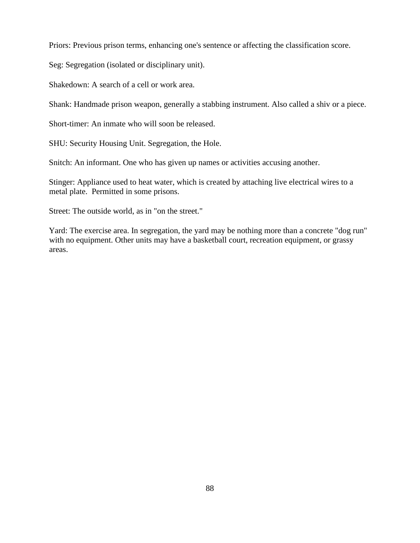Priors: Previous prison terms, enhancing one's sentence or affecting the classification score.

Seg: Segregation (isolated or disciplinary unit).

Shakedown: A search of a cell or work area.

Shank: Handmade prison weapon, generally a stabbing instrument. Also called a shiv or a piece.

Short-timer: An inmate who will soon be released.

SHU: Security Housing Unit. Segregation, the Hole.

Snitch: An informant. One who has given up names or activities accusing another.

Stinger: Appliance used to heat water, which is created by attaching live electrical wires to a metal plate. Permitted in some prisons.

Street: The outside world, as in "on the street."

Yard: The exercise area. In segregation, the yard may be nothing more than a concrete "dog run" with no equipment. Other units may have a basketball court, recreation equipment, or grassy areas.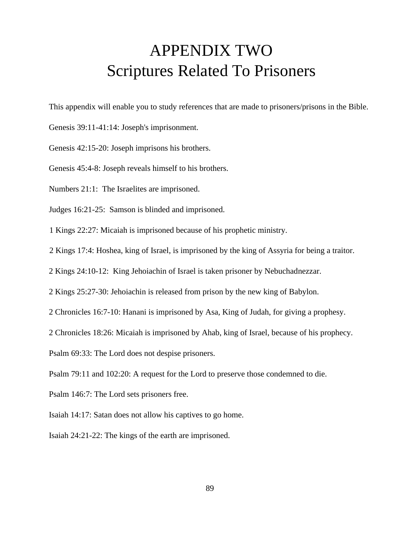# APPENDIX TWO Scriptures Related To Prisoners

This appendix will enable you to study references that are made to prisoners/prisons in the Bible.

- Genesis 39:11-41:14: Joseph's imprisonment.
- Genesis 42:15-20: Joseph imprisons his brothers.
- Genesis 45:4-8: Joseph reveals himself to his brothers.
- Numbers 21:1: The Israelites are imprisoned.
- Judges 16:21-25: Samson is blinded and imprisoned.

1 Kings 22:27: Micaiah is imprisoned because of his prophetic ministry.

- 2 Kings 17:4: Hoshea, king of Israel, is imprisoned by the king of Assyria for being a traitor.
- 2 Kings 24:10-12: King Jehoiachin of Israel is taken prisoner by Nebuchadnezzar.
- 2 Kings 25:27-30: Jehoiachin is released from prison by the new king of Babylon.
- 2 Chronicles 16:7-10: Hanani is imprisoned by Asa, King of Judah, for giving a prophesy.
- 2 Chronicles 18:26: Micaiah is imprisoned by Ahab, king of Israel, because of his prophecy.
- Psalm 69:33: The Lord does not despise prisoners.
- Psalm 79:11 and 102:20: A request for the Lord to preserve those condemned to die.
- Psalm 146:7: The Lord sets prisoners free.
- Isaiah 14:17: Satan does not allow his captives to go home.
- Isaiah 24:21-22: The kings of the earth are imprisoned.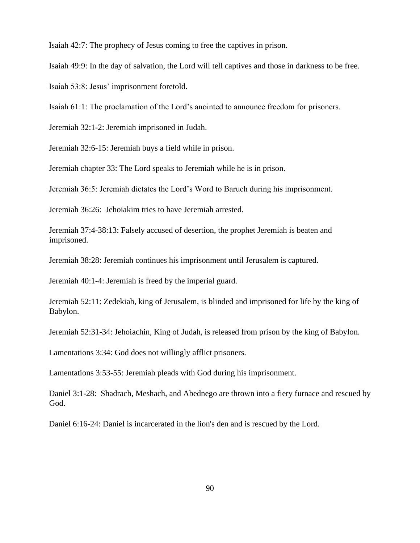Isaiah 42:7: The prophecy of Jesus coming to free the captives in prison.

Isaiah 49:9: In the day of salvation, the Lord will tell captives and those in darkness to be free.

Isaiah 53:8: Jesus' imprisonment foretold.

Isaiah 61:1: The proclamation of the Lord's anointed to announce freedom for prisoners.

Jeremiah 32:1-2: Jeremiah imprisoned in Judah.

Jeremiah 32:6-15: Jeremiah buys a field while in prison.

Jeremiah chapter 33: The Lord speaks to Jeremiah while he is in prison.

Jeremiah 36:5: Jeremiah dictates the Lord's Word to Baruch during his imprisonment.

Jeremiah 36:26: Jehoiakim tries to have Jeremiah arrested.

Jeremiah 37:4-38:13: Falsely accused of desertion, the prophet Jeremiah is beaten and imprisoned.

Jeremiah 38:28: Jeremiah continues his imprisonment until Jerusalem is captured.

Jeremiah 40:1-4: Jeremiah is freed by the imperial guard.

Jeremiah 52:11: Zedekiah, king of Jerusalem, is blinded and imprisoned for life by the king of Babylon.

Jeremiah 52:31-34: Jehoiachin, King of Judah, is released from prison by the king of Babylon.

Lamentations 3:34: God does not willingly afflict prisoners.

Lamentations 3:53-55: Jeremiah pleads with God during his imprisonment.

Daniel 3:1-28: Shadrach, Meshach, and Abednego are thrown into a fiery furnace and rescued by God.

Daniel 6:16-24: Daniel is incarcerated in the lion's den and is rescued by the Lord.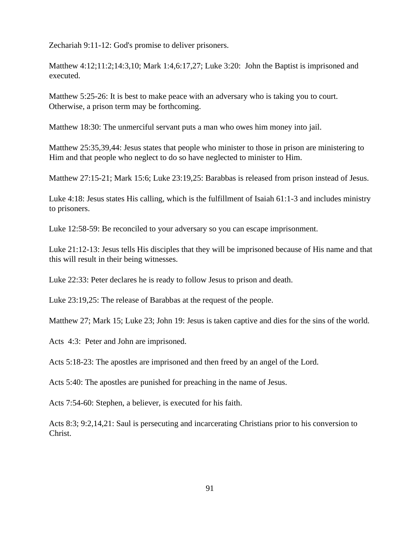Zechariah 9:11-12: God's promise to deliver prisoners.

Matthew 4:12;11:2;14:3,10; Mark 1:4,6:17,27; Luke 3:20: John the Baptist is imprisoned and executed.

Matthew 5:25-26: It is best to make peace with an adversary who is taking you to court. Otherwise, a prison term may be forthcoming.

Matthew 18:30: The unmerciful servant puts a man who owes him money into jail.

Matthew 25:35,39,44: Jesus states that people who minister to those in prison are ministering to Him and that people who neglect to do so have neglected to minister to Him.

Matthew 27:15-21; Mark 15:6; Luke 23:19,25: Barabbas is released from prison instead of Jesus.

Luke 4:18: Jesus states His calling, which is the fulfillment of Isaiah 61:1-3 and includes ministry to prisoners.

Luke 12:58-59: Be reconciled to your adversary so you can escape imprisonment.

Luke 21:12-13: Jesus tells His disciples that they will be imprisoned because of His name and that this will result in their being witnesses.

Luke 22:33: Peter declares he is ready to follow Jesus to prison and death.

Luke 23:19,25: The release of Barabbas at the request of the people.

Matthew 27; Mark 15; Luke 23; John 19: Jesus is taken captive and dies for the sins of the world.

Acts 4:3: Peter and John are imprisoned.

Acts 5:18-23: The apostles are imprisoned and then freed by an angel of the Lord.

Acts 5:40: The apostles are punished for preaching in the name of Jesus.

Acts 7:54-60: Stephen, a believer, is executed for his faith.

Acts 8:3; 9:2,14,21: Saul is persecuting and incarcerating Christians prior to his conversion to Christ.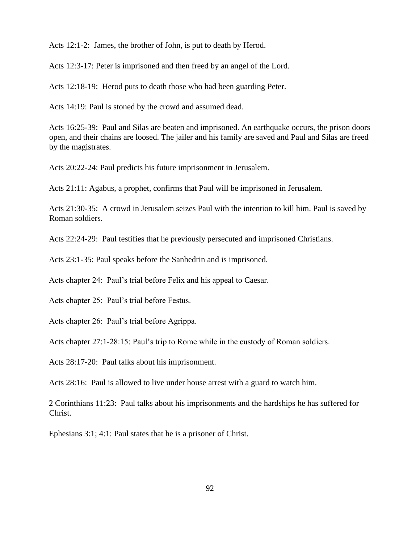Acts 12:1-2: James, the brother of John, is put to death by Herod.

Acts 12:3-17: Peter is imprisoned and then freed by an angel of the Lord.

Acts 12:18-19: Herod puts to death those who had been guarding Peter.

Acts 14:19: Paul is stoned by the crowd and assumed dead.

Acts 16:25-39: Paul and Silas are beaten and imprisoned. An earthquake occurs, the prison doors open, and their chains are loosed. The jailer and his family are saved and Paul and Silas are freed by the magistrates.

Acts 20:22-24: Paul predicts his future imprisonment in Jerusalem.

Acts 21:11: Agabus, a prophet, confirms that Paul will be imprisoned in Jerusalem.

Acts 21:30-35: A crowd in Jerusalem seizes Paul with the intention to kill him. Paul is saved by Roman soldiers.

Acts 22:24-29: Paul testifies that he previously persecuted and imprisoned Christians.

Acts 23:1-35: Paul speaks before the Sanhedrin and is imprisoned.

Acts chapter 24: Paul's trial before Felix and his appeal to Caesar.

Acts chapter 25: Paul's trial before Festus.

Acts chapter 26: Paul's trial before Agrippa.

Acts chapter 27:1-28:15: Paul's trip to Rome while in the custody of Roman soldiers.

Acts 28:17-20: Paul talks about his imprisonment.

Acts 28:16: Paul is allowed to live under house arrest with a guard to watch him.

2 Corinthians 11:23: Paul talks about his imprisonments and the hardships he has suffered for Christ.

Ephesians 3:1; 4:1: Paul states that he is a prisoner of Christ.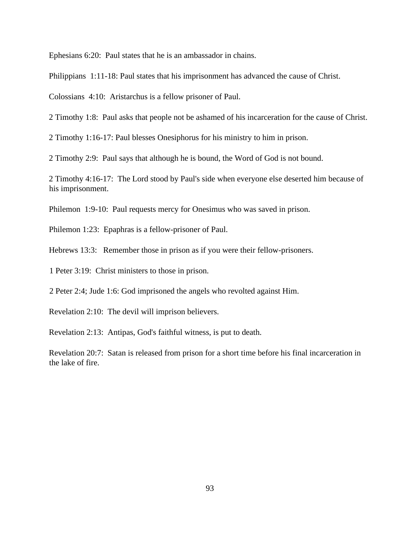Ephesians 6:20: Paul states that he is an ambassador in chains.

Philippians 1:11-18: Paul states that his imprisonment has advanced the cause of Christ.

Colossians 4:10: Aristarchus is a fellow prisoner of Paul.

2 Timothy 1:8: Paul asks that people not be ashamed of his incarceration for the cause of Christ.

2 Timothy 1:16-17: Paul blesses Onesiphorus for his ministry to him in prison.

2 Timothy 2:9: Paul says that although he is bound, the Word of God is not bound.

2 Timothy 4:16-17: The Lord stood by Paul's side when everyone else deserted him because of his imprisonment.

Philemon 1:9-10: Paul requests mercy for Onesimus who was saved in prison.

Philemon 1:23: Epaphras is a fellow-prisoner of Paul.

Hebrews 13:3: Remember those in prison as if you were their fellow-prisoners.

1 Peter 3:19: Christ ministers to those in prison.

2 Peter 2:4; Jude 1:6: God imprisoned the angels who revolted against Him.

Revelation 2:10: The devil will imprison believers.

Revelation 2:13: Antipas, God's faithful witness, is put to death.

Revelation 20:7: Satan is released from prison for a short time before his final incarceration in the lake of fire.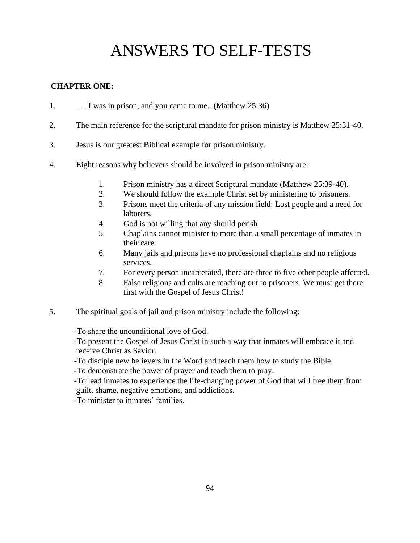# ANSWERS TO SELF-TESTS

### **CHAPTER ONE:**

- 1. . . . . I was in prison, and you came to me. (Matthew 25:36)
- 2. The main reference for the scriptural mandate for prison ministry is Matthew 25:31-40.
- 3. Jesus is our greatest Biblical example for prison ministry.
- 4. Eight reasons why believers should be involved in prison ministry are:
	- 1. Prison ministry has a direct Scriptural mandate (Matthew 25:39-40).
	- 2. We should follow the example Christ set by ministering to prisoners.
	- 3. Prisons meet the criteria of any mission field: Lost people and a need for laborers.
	- 4. God is not willing that any should perish
	- 5. Chaplains cannot minister to more than a small percentage of inmates in their care.
	- 6. Many jails and prisons have no professional chaplains and no religious services.
	- 7. For every person incarcerated, there are three to five other people affected.
	- 8. False religions and cults are reaching out to prisoners. We must get there first with the Gospel of Jesus Christ!
- 5. The spiritual goals of jail and prison ministry include the following:

-To share the unconditional love of God.

-To present the Gospel of Jesus Christ in such a way that inmates will embrace it and receive Christ as Savior.

-To disciple new believers in the Word and teach them how to study the Bible.

-To demonstrate the power of prayer and teach them to pray.

-To lead inmates to experience the life-changing power of God that will free them from guilt, shame, negative emotions, and addictions.

-To minister to inmates' families.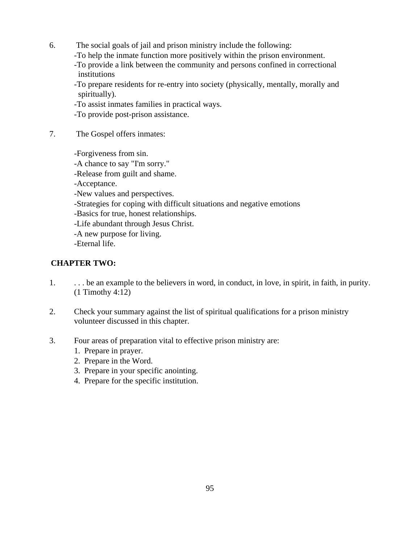- 6. The social goals of jail and prison ministry include the following:
	- -To help the inmate function more positively within the prison environment.
	- -To provide a link between the community and persons confined in correctional institutions

-To prepare residents for re-entry into society (physically, mentally, morally and spiritually).

-To assist inmates families in practical ways.

- -To provide post-prison assistance.
- 7. The Gospel offers inmates:

-Forgiveness from sin. -A chance to say "I'm sorry." -Release from guilt and shame. -Acceptance.

- -New values and perspectives.
- -Strategies for coping with difficult situations and negative emotions
- -Basics for true, honest relationships.
- -Life abundant through Jesus Christ.
- -A new purpose for living.

-Eternal life.

### **CHAPTER TWO:**

- 1. . . . be an example to the believers in word, in conduct, in love, in spirit, in faith, in purity. (1 Timothy 4:12)
- 2. Check your summary against the list of spiritual qualifications for a prison ministry volunteer discussed in this chapter.
- 3. Four areas of preparation vital to effective prison ministry are:
	- 1. Prepare in prayer.
	- 2. Prepare in the Word.
	- 3. Prepare in your specific anointing.
	- 4. Prepare for the specific institution.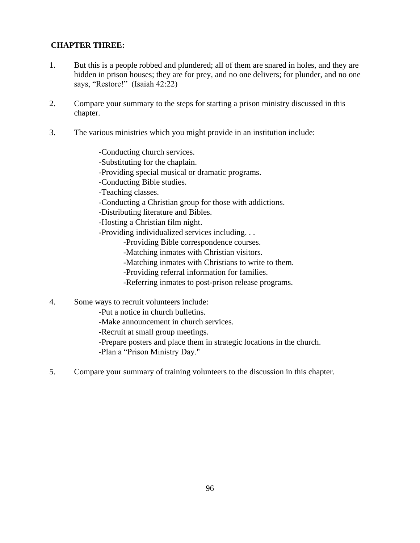# **CHAPTER THREE:**

- 1. But this is a people robbed and plundered; all of them are snared in holes, and they are hidden in prison houses; they are for prey, and no one delivers; for plunder, and no one says, "Restore!" (Isaiah 42:22)
- 2. Compare your summary to the steps for starting a prison ministry discussed in this chapter.
- 3. The various ministries which you might provide in an institution include:

-Conducting church services.

- -Substituting for the chaplain.
- -Providing special musical or dramatic programs.

-Conducting Bible studies.

-Teaching classes.

- -Conducting a Christian group for those with addictions.
- -Distributing literature and Bibles.

-Hosting a Christian film night.

- -Providing individualized services including. . .
	- -Providing Bible correspondence courses.
	- -Matching inmates with Christian visitors.
	- -Matching inmates with Christians to write to them.
	- -Providing referral information for families.
	- -Referring inmates to post-prison release programs.
- 4. Some ways to recruit volunteers include:
	- -Put a notice in church bulletins.
	- -Make announcement in church services.
	- -Recruit at small group meetings.
	- -Prepare posters and place them in strategic locations in the church.
	- -Plan a "Prison Ministry Day."
- 5. Compare your summary of training volunteers to the discussion in this chapter.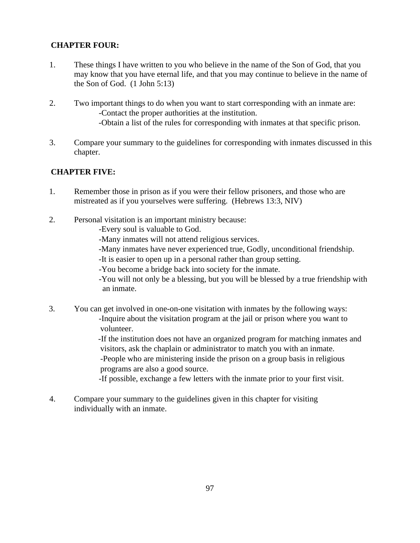# **CHAPTER FOUR:**

- 1. These things I have written to you who believe in the name of the Son of God, that you may know that you have eternal life, and that you may continue to believe in the name of the Son of God.  $(1$  John 5:13)
- 2. Two important things to do when you want to start corresponding with an inmate are: -Contact the proper authorities at the institution. -Obtain a list of the rules for corresponding with inmates at that specific prison.
- 3. Compare your summary to the guidelines for corresponding with inmates discussed in this chapter.

### **CHAPTER FIVE:**

- 1. Remember those in prison as if you were their fellow prisoners, and those who are mistreated as if you yourselves were suffering. (Hebrews 13:3, NIV)
- 2. Personal visitation is an important ministry because:
	- -Every soul is valuable to God.
	- -Many inmates will not attend religious services.
	- -Many inmates have never experienced true, Godly, unconditional friendship.
	- -It is easier to open up in a personal rather than group setting.
	- -You become a bridge back into society for the inmate.

 -You will not only be a blessing, but you will be blessed by a true friendship with an inmate.

3. You can get involved in one-on-one visitation with inmates by the following ways: -Inquire about the visitation program at the jail or prison where you want to volunteer.

> -If the institution does not have an organized program for matching inmates and visitors, ask the chaplain or administrator to match you with an inmate.

-People who are ministering inside the prison on a group basis in religious programs are also a good source.

-If possible, exchange a few letters with the inmate prior to your first visit.

4. Compare your summary to the guidelines given in this chapter for visiting individually with an inmate.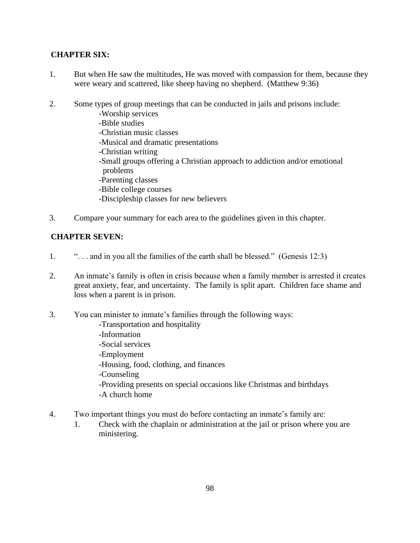# **CHAPTER SIX:**

- 1. But when He saw the multitudes, He was moved with compassion for them, because they were weary and scattered, like sheep having no shepherd. (Matthew 9:36)
- 2. Some types of group meetings that can be conducted in jails and prisons include:
	- -Worship services
	- -Bible studies
	- -Christian music classes
	- -Musical and dramatic presentations
	- -Christian writing
	- -Small groups offering a Christian approach to addiction and/or emotional problems
	- -Parenting classes
	- -Bible college courses
	- -Discipleship classes for new believers
- 3. Compare your summary for each area to the guidelines given in this chapter.

### **CHAPTER SEVEN:**

- 1. ". . . and in you all the families of the earth shall be blessed." (Genesis 12:3)
- 2. An inmate's family is often in crisis because when a family member is arrested it creates great anxiety, fear, and uncertainty. The family is split apart. Children face shame and loss when a parent is in prison.
- 3. You can minister to inmate's families through the following ways:
	- -Transportation and hospitality
	- -Information
	- -Social services
	- -Employment
	- -Housing, food, clothing, and finances
	- -Counseling
	- -Providing presents on special occasions like Christmas and birthdays
	- -A church home
- 4. Two important things you must do before contacting an inmate's family are:
	- 1. Check with the chaplain or administration at the jail or prison where you are ministering.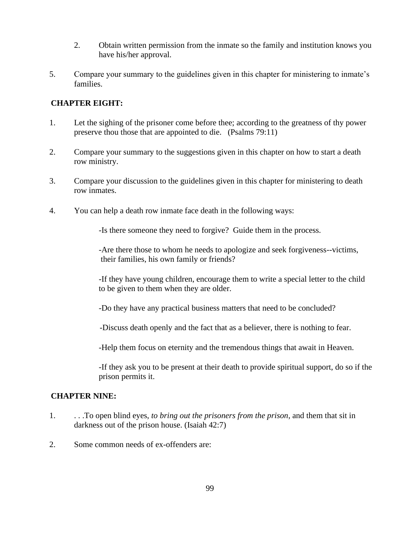- 2. Obtain written permission from the inmate so the family and institution knows you have his/her approval.
- 5. Compare your summary to the guidelines given in this chapter for ministering to inmate's families.

### **CHAPTER EIGHT:**

- 1. Let the sighing of the prisoner come before thee; according to the greatness of thy power preserve thou those that are appointed to die. (Psalms 79:11)
- 2. Compare your summary to the suggestions given in this chapter on how to start a death row ministry.
- 3. Compare your discussion to the guidelines given in this chapter for ministering to death row inmates.
- 4. You can help a death row inmate face death in the following ways:

-Is there someone they need to forgive? Guide them in the process.

-Are there those to whom he needs to apologize and seek forgiveness--victims, their families, his own family or friends?

-If they have young children, encourage them to write a special letter to the child to be given to them when they are older.

-Do they have any practical business matters that need to be concluded?

-Discuss death openly and the fact that as a believer, there is nothing to fear.

-Help them focus on eternity and the tremendous things that await in Heaven.

-If they ask you to be present at their death to provide spiritual support, do so if the prison permits it.

### **CHAPTER NINE:**

- 1. . . .To open blind eyes, *to bring out the prisoners from the prison*, and them that sit in darkness out of the prison house. (Isaiah 42:7)
- 2. Some common needs of ex-offenders are: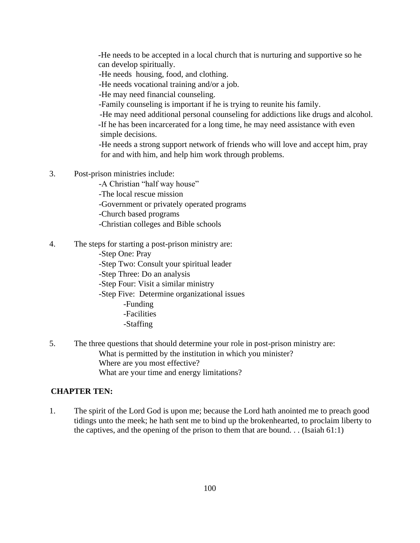-He needs to be accepted in a local church that is nurturing and supportive so he can develop spiritually.

-He needs housing, food, and clothing.

-He needs vocational training and/or a job.

-He may need financial counseling.

-Family counseling is important if he is trying to reunite his family.

-He may need additional personal counseling for addictions like drugs and alcohol. -If he has been incarcerated for a long time, he may need assistance with even simple decisions.

 -He needs a strong support network of friends who will love and accept him, pray for and with him, and help him work through problems.

- 3. Post-prison ministries include:
	- -A Christian "half way house"

-The local rescue mission

-Government or privately operated programs

-Church based programs

- -Christian colleges and Bible schools
- 4. The steps for starting a post-prison ministry are:
	- -Step One: Pray
	- -Step Two: Consult your spiritual leader

-Step Three: Do an analysis

- -Step Four: Visit a similar ministry
- -Step Five: Determine organizational issues
	- -Funding
	- -Facilities
	- -Staffing
- 5. The three questions that should determine your role in post-prison ministry are: What is permitted by the institution in which you minister? Where are you most effective? What are your time and energy limitations?

#### **CHAPTER TEN:**

1. The spirit of the Lord God is upon me; because the Lord hath anointed me to preach good tidings unto the meek; he hath sent me to bind up the brokenhearted, to proclaim liberty to the captives, and the opening of the prison to them that are bound. . . (Isaiah 61:1)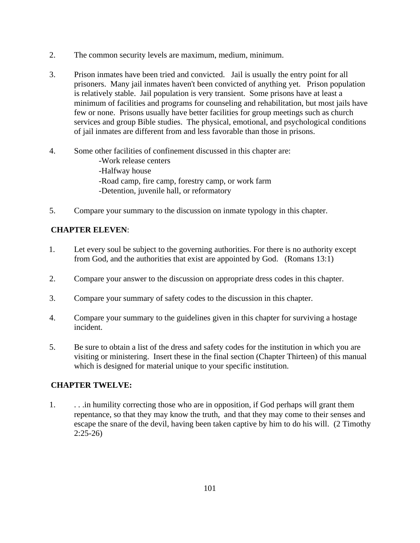- 2. The common security levels are maximum, medium, minimum.
- 3. Prison inmates have been tried and convicted. Jail is usually the entry point for all prisoners. Many jail inmates haven't been convicted of anything yet. Prison population is relatively stable. Jail population is very transient. Some prisons have at least a minimum of facilities and programs for counseling and rehabilitation, but most jails have few or none. Prisons usually have better facilities for group meetings such as church services and group Bible studies. The physical, emotional, and psychological conditions of jail inmates are different from and less favorable than those in prisons.
- 4. Some other facilities of confinement discussed in this chapter are: -Work release centers -Halfway house -Road camp, fire camp, forestry camp, or work farm -Detention, juvenile hall, or reformatory
- 5. Compare your summary to the discussion on inmate typology in this chapter.

# **CHAPTER ELEVEN**:

- 1. Let every soul be subject to the governing authorities. For there is no authority except from God, and the authorities that exist are appointed by God. (Romans 13:1)
- 2. Compare your answer to the discussion on appropriate dress codes in this chapter.
- 3. Compare your summary of safety codes to the discussion in this chapter.
- 4. Compare your summary to the guidelines given in this chapter for surviving a hostage incident.
- 5. Be sure to obtain a list of the dress and safety codes for the institution in which you are visiting or ministering. Insert these in the final section (Chapter Thirteen) of this manual which is designed for material unique to your specific institution.

### **CHAPTER TWELVE:**

1. . . .in humility correcting those who are in opposition, if God perhaps will grant them repentance, so that they may know the truth, and that they may come to their senses and escape the snare of the devil, having been taken captive by him to do his will. (2 Timothy 2:25-26)